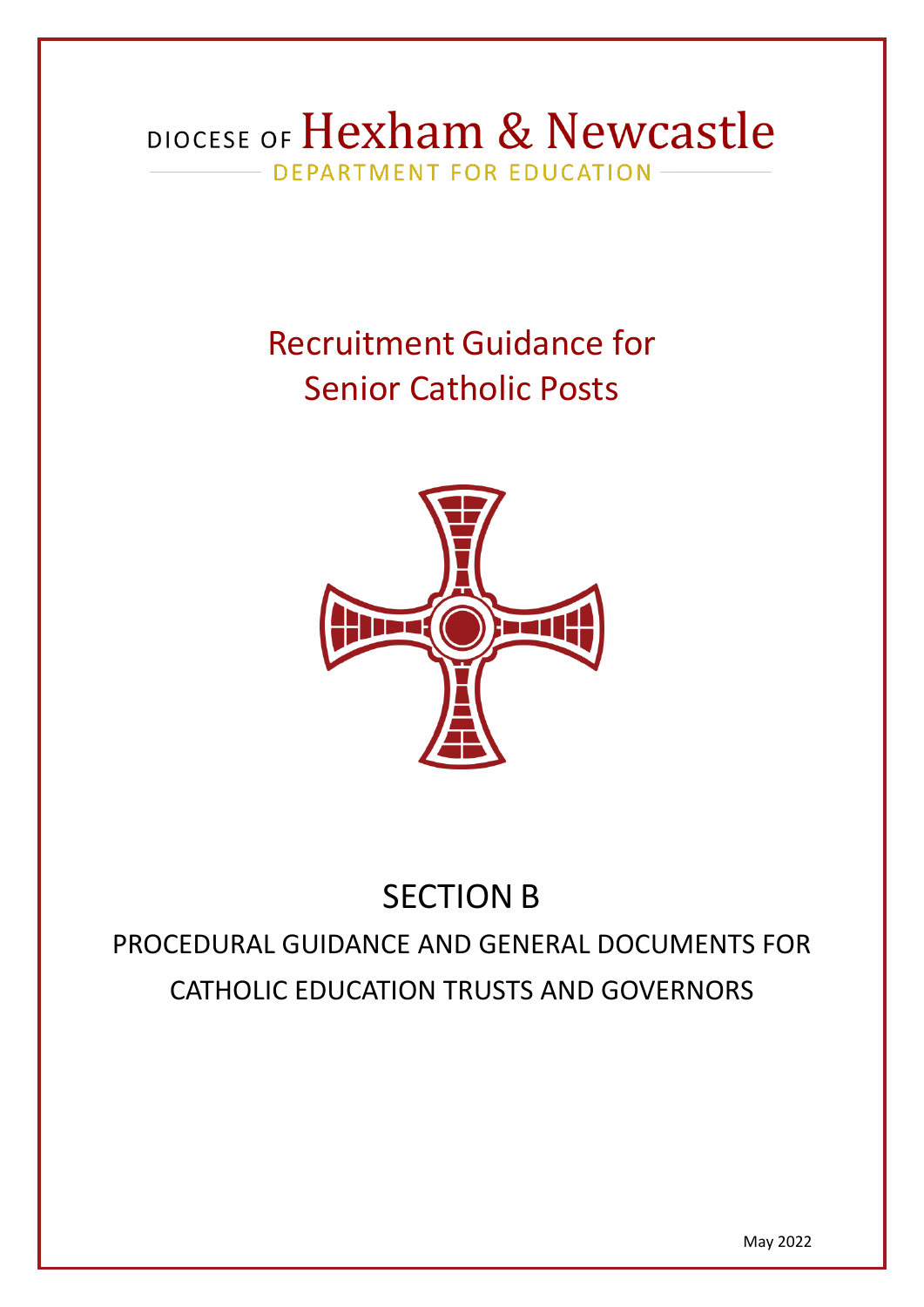# DIOCESE OF Hexham & Newcastle - DEPARTMENT FOR EDUCATION -

# Recruitment Guidance for Senior Catholic Posts



# SECTION B

PROCEDURAL GUIDANCE AND GENERAL DOCUMENTS FOR CATHOLIC EDUCATION TRUSTS AND GOVERNORS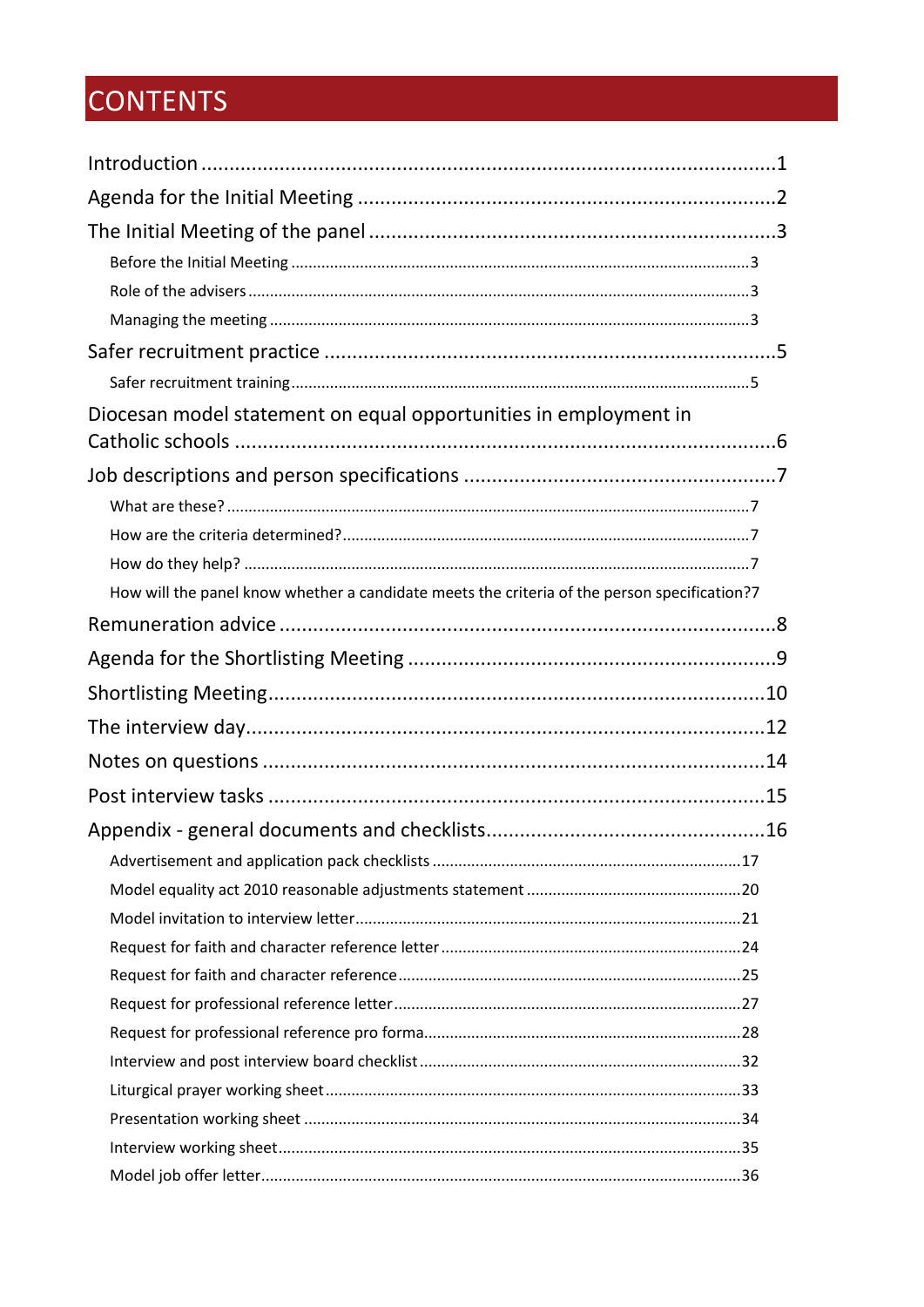# CONTENTS

| Diocesan model statement on equal opportunities in employment in                             |  |
|----------------------------------------------------------------------------------------------|--|
|                                                                                              |  |
|                                                                                              |  |
|                                                                                              |  |
|                                                                                              |  |
| How will the panel know whether a candidate meets the criteria of the person specification?7 |  |
|                                                                                              |  |
|                                                                                              |  |
|                                                                                              |  |
|                                                                                              |  |
|                                                                                              |  |
|                                                                                              |  |
|                                                                                              |  |
|                                                                                              |  |
|                                                                                              |  |
|                                                                                              |  |
|                                                                                              |  |
|                                                                                              |  |
|                                                                                              |  |
|                                                                                              |  |
|                                                                                              |  |
|                                                                                              |  |
|                                                                                              |  |
|                                                                                              |  |
|                                                                                              |  |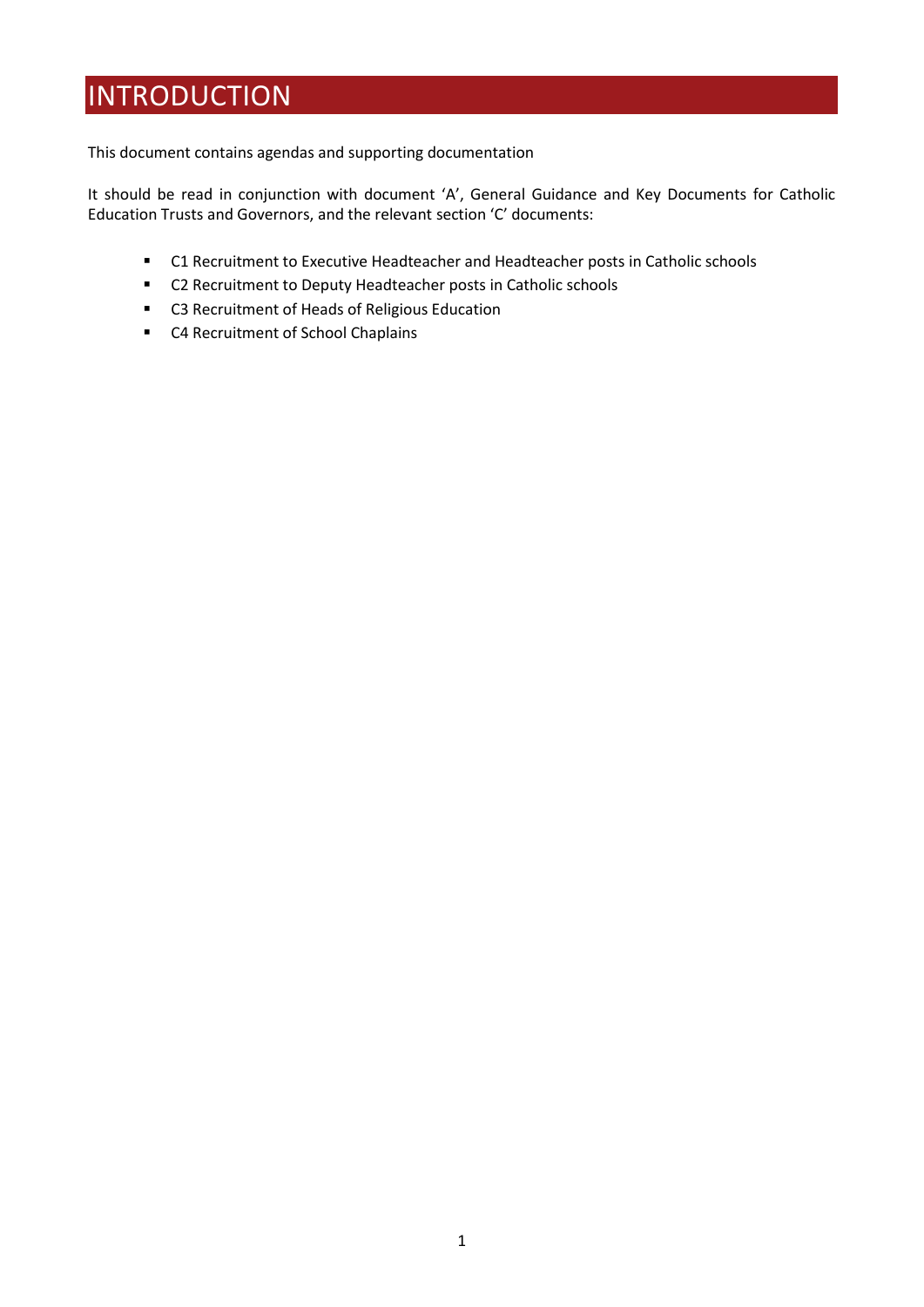## <span id="page-2-0"></span>INTRODUCTION

This document contains agendas and supporting documentation

It should be read in conjunction with document 'A', General Guidance and Key Documents for Catholic Education Trusts and Governors, and the relevant section 'C' documents:

- C1 Recruitment to Executive Headteacher and Headteacher posts in Catholic schools
- C2 Recruitment to Deputy Headteacher posts in Catholic schools
- C3 Recruitment of Heads of Religious Education
- C4 Recruitment of School Chaplains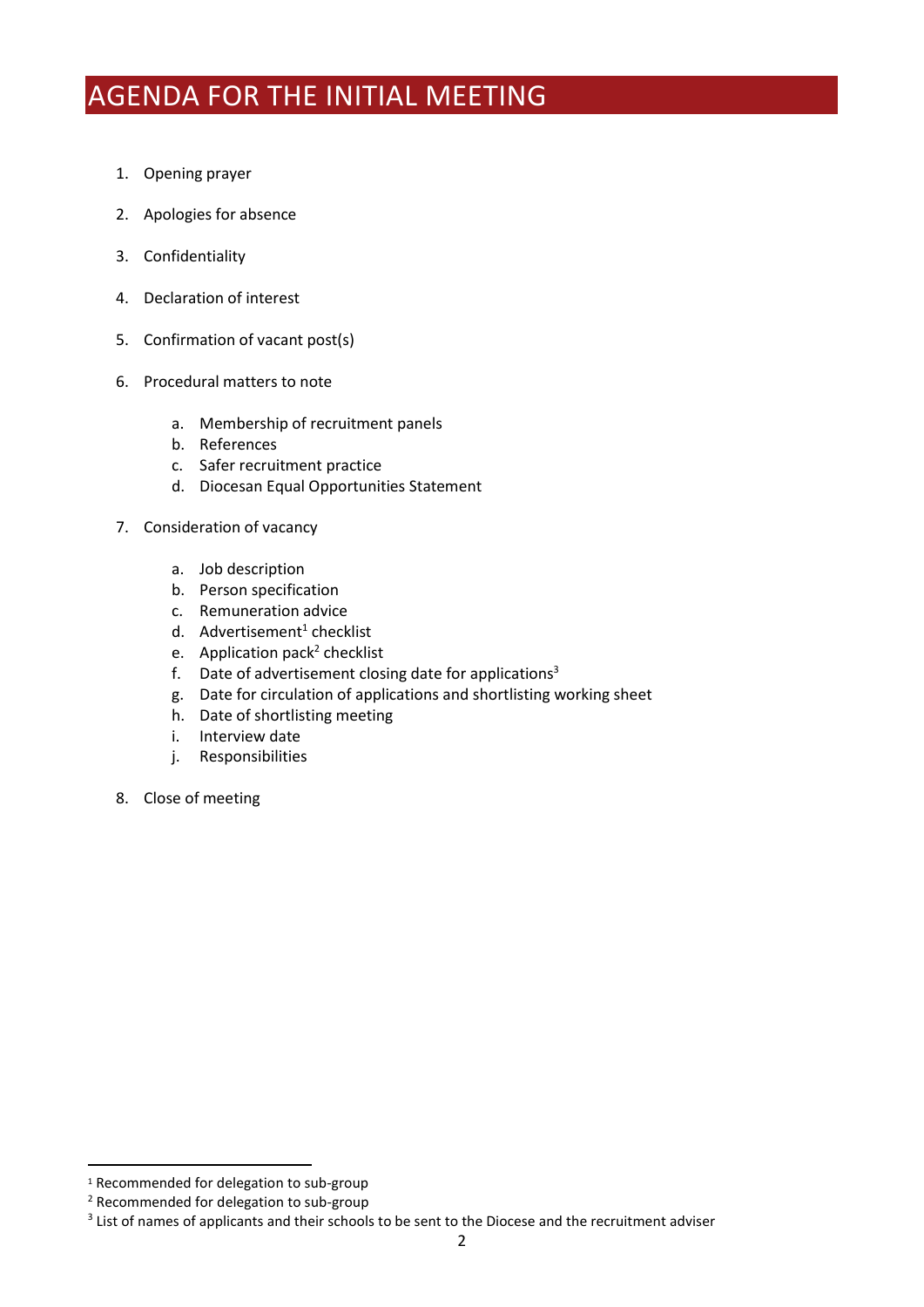# <span id="page-3-0"></span>AGENDA FOR THE INITIAL MEETING

- 1. Opening prayer
- 2. Apologies for absence
- 3. Confidentiality
- 4. Declaration of interest
- 5. Confirmation of vacant post(s)
- 6. Procedural matters to note
	- a. Membership of recruitment panels
	- b. References
	- c. Safer recruitment practice
	- d. Diocesan Equal Opportunities Statement
- 7. Consideration of vacancy
	- a. Job description
	- b. Person specification
	- c. Remuneration advice
	- d. Advertisement<sup>1</sup> checklist
	- e. Application pack<sup>2</sup> checklist
	- f. Date of advertisement closing date for applications<sup>3</sup>
	- g. Date for circulation of applications and shortlisting working sheet
	- h. Date of shortlisting meeting
	- i. Interview date
	- j. Responsibilities
- 8. Close of meeting

<sup>1</sup> Recommended for delegation to sub-group

<sup>2</sup> Recommended for delegation to sub-group

<sup>&</sup>lt;sup>3</sup> List of names of applicants and their schools to be sent to the Diocese and the recruitment adviser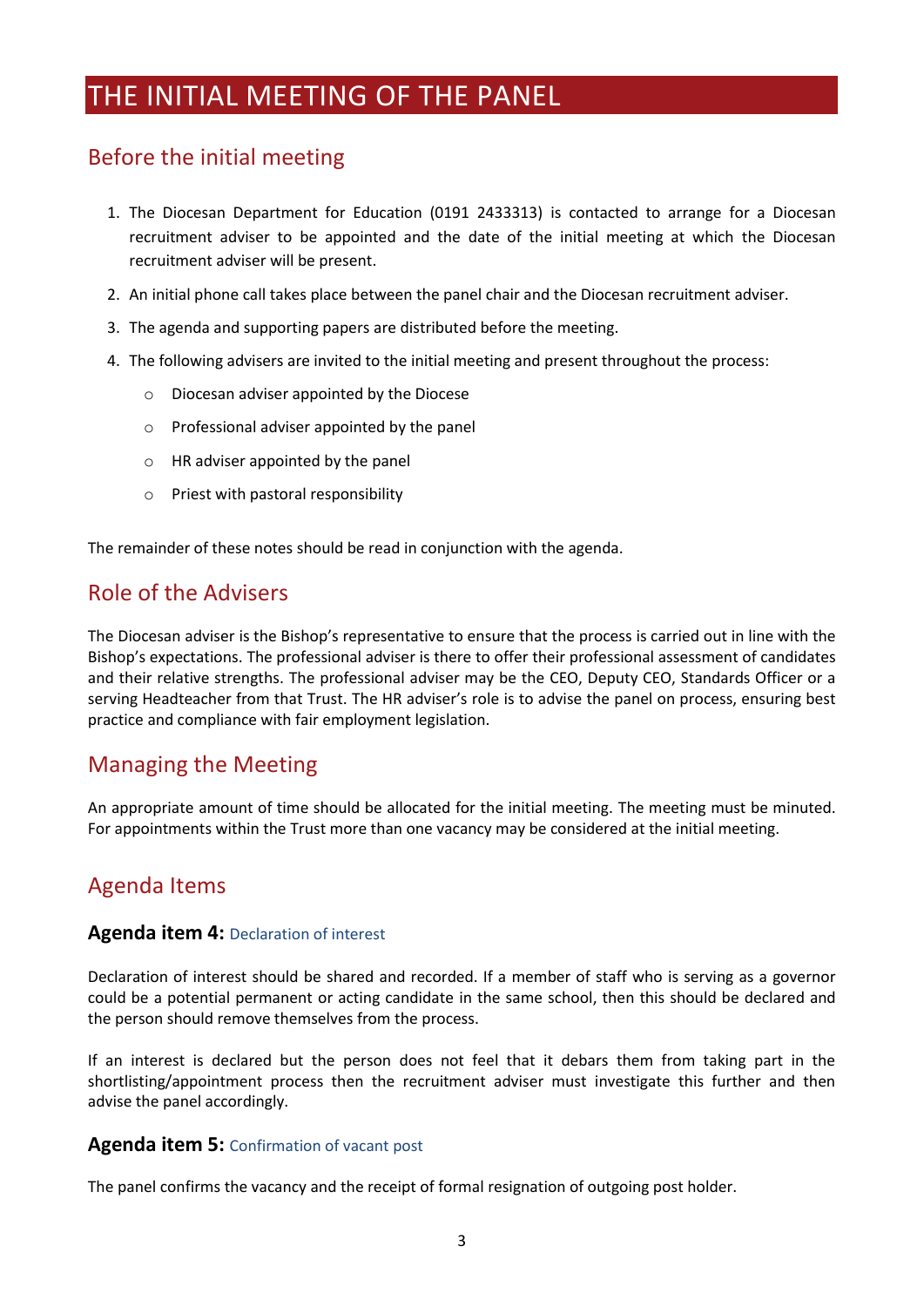## <span id="page-4-0"></span>THE INITIAL MEETING OF THE PANEL

### <span id="page-4-1"></span>Before the initial meeting

- 1. The Diocesan Department for Education (0191 2433313) is contacted to arrange for a Diocesan recruitment adviser to be appointed and the date of the initial meeting at which the Diocesan recruitment adviser will be present.
- 2. An initial phone call takes place between the panel chair and the Diocesan recruitment adviser.
- 3. The agenda and supporting papers are distributed before the meeting.
- 4. The following advisers are invited to the initial meeting and present throughout the process:
	- o Diocesan adviser appointed by the Diocese
	- o Professional adviser appointed by the panel
	- o HR adviser appointed by the panel
	- o Priest with pastoral responsibility

<span id="page-4-2"></span>The remainder of these notes should be read in conjunction with the agenda.

### Role of the Advisers

The Diocesan adviser is the Bishop's representative to ensure that the process is carried out in line with the Bishop's expectations. The professional adviser is there to offer their professional assessment of candidates and their relative strengths. The professional adviser may be the CEO, Deputy CEO, Standards Officer or a serving Headteacher from that Trust. The HR adviser's role is to advise the panel on process, ensuring best practice and compliance with fair employment legislation.

#### <span id="page-4-3"></span>Managing the Meeting

An appropriate amount of time should be allocated for the initial meeting. The meeting must be minuted. For appointments within the Trust more than one vacancy may be considered at the initial meeting.

### Agenda Items

#### **Agenda item 4:** Declaration of interest

Declaration of interest should be shared and recorded. If a member of staff who is serving as a governor could be a potential permanent or acting candidate in the same school, then this should be declared and the person should remove themselves from the process.

If an interest is declared but the person does not feel that it debars them from taking part in the shortlisting/appointment process then the recruitment adviser must investigate this further and then advise the panel accordingly.

#### **Agenda item 5:** Confirmation of vacant post

The panel confirms the vacancy and the receipt of formal resignation of outgoing post holder.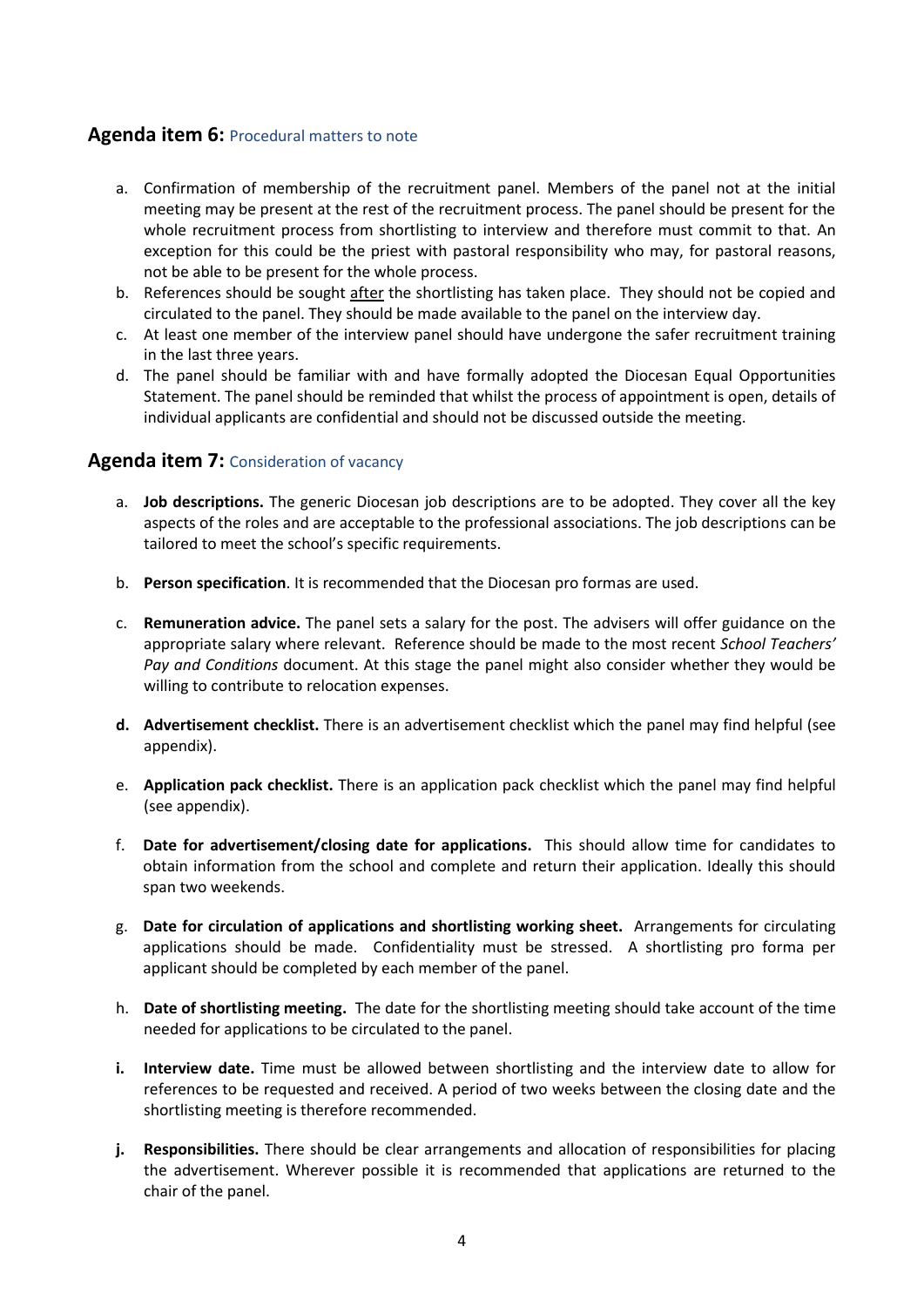#### **Agenda item 6:** Procedural matters to note

- a. Confirmation of membership of the recruitment panel. Members of the panel not at the initial meeting may be present at the rest of the recruitment process. The panel should be present for the whole recruitment process from shortlisting to interview and therefore must commit to that. An exception for this could be the priest with pastoral responsibility who may, for pastoral reasons, not be able to be present for the whole process.
- b. References should be sought after the shortlisting has taken place. They should not be copied and circulated to the panel. They should be made available to the panel on the interview day.
- c. At least one member of the interview panel should have undergone the safer recruitment training in the last three years.
- d. The panel should be familiar with and have formally adopted the Diocesan Equal Opportunities Statement. The panel should be reminded that whilst the process of appointment is open, details of individual applicants are confidential and should not be discussed outside the meeting.

#### **Agenda item 7:** Consideration of vacancy

- a. **Job descriptions.** The generic Diocesan job descriptions are to be adopted. They cover all the key aspects of the roles and are acceptable to the professional associations. The job descriptions can be tailored to meet the school's specific requirements.
- b. **Person specification**. It is recommended that the Diocesan pro formas are used.
- c. **Remuneration advice.** The panel sets a salary for the post. The advisers will offer guidance on the appropriate salary where relevant. Reference should be made to the most recent *School Teachers' Pay and Conditions* document. At this stage the panel might also consider whether they would be willing to contribute to relocation expenses.
- **d. Advertisement checklist.** There is an advertisement checklist which the panel may find helpful (see appendix).
- e. **Application pack checklist.** There is an application pack checklist which the panel may find helpful (see appendix).
- f. **Date for advertisement/closing date for applications.** This should allow time for candidates to obtain information from the school and complete and return their application. Ideally this should span two weekends.
- g. **Date for circulation of applications and shortlisting working sheet.** Arrangements for circulating applications should be made. Confidentiality must be stressed. A shortlisting pro forma per applicant should be completed by each member of the panel.
- h. **Date of shortlisting meeting.** The date for the shortlisting meeting should take account of the time needed for applications to be circulated to the panel.
- **i. Interview date.** Time must be allowed between shortlisting and the interview date to allow for references to be requested and received. A period of two weeks between the closing date and the shortlisting meeting is therefore recommended.
- **j. Responsibilities.** There should be clear arrangements and allocation of responsibilities for placing the advertisement. Wherever possible it is recommended that applications are returned to the chair of the panel.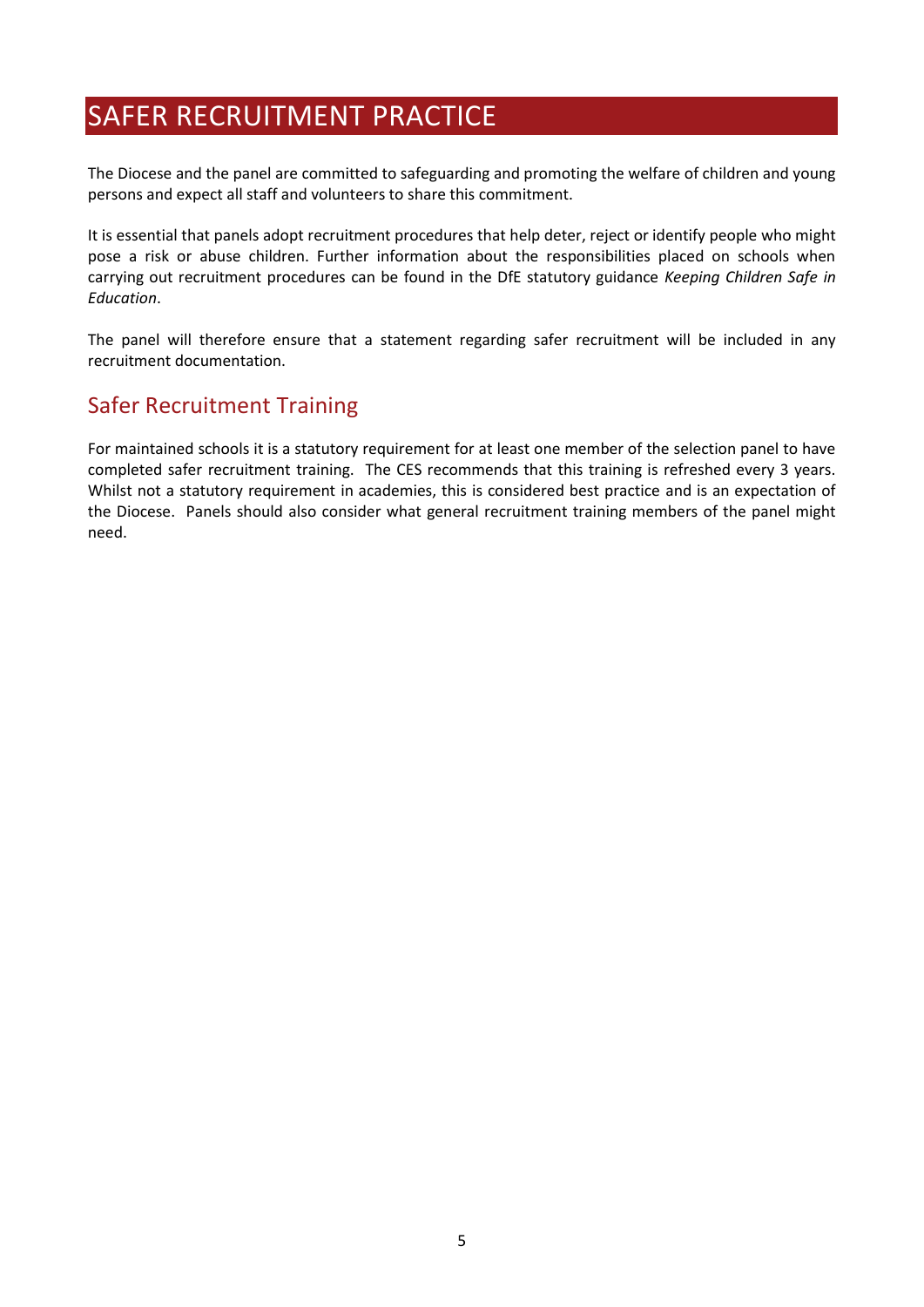## <span id="page-6-0"></span>SAFER RECRUITMENT PRACTICE

The Diocese and the panel are committed to safeguarding and promoting the welfare of children and young persons and expect all staff and volunteers to share this commitment.

It is essential that panels adopt recruitment procedures that help deter, reject or identify people who might pose a risk or abuse children. Further information about the responsibilities placed on schools when carrying out recruitment procedures can be found in the DfE statutory guidance *Keeping Children Safe in Education*.

The panel will therefore ensure that a statement regarding safer recruitment will be included in any recruitment documentation.

### <span id="page-6-1"></span>Safer Recruitment Training

For maintained schools it is a statutory requirement for at least one member of the selection panel to have completed safer recruitment training. The CES recommends that this training is refreshed every 3 years. Whilst not a statutory requirement in academies, this is considered best practice and is an expectation of the Diocese. Panels should also consider what general recruitment training members of the panel might need.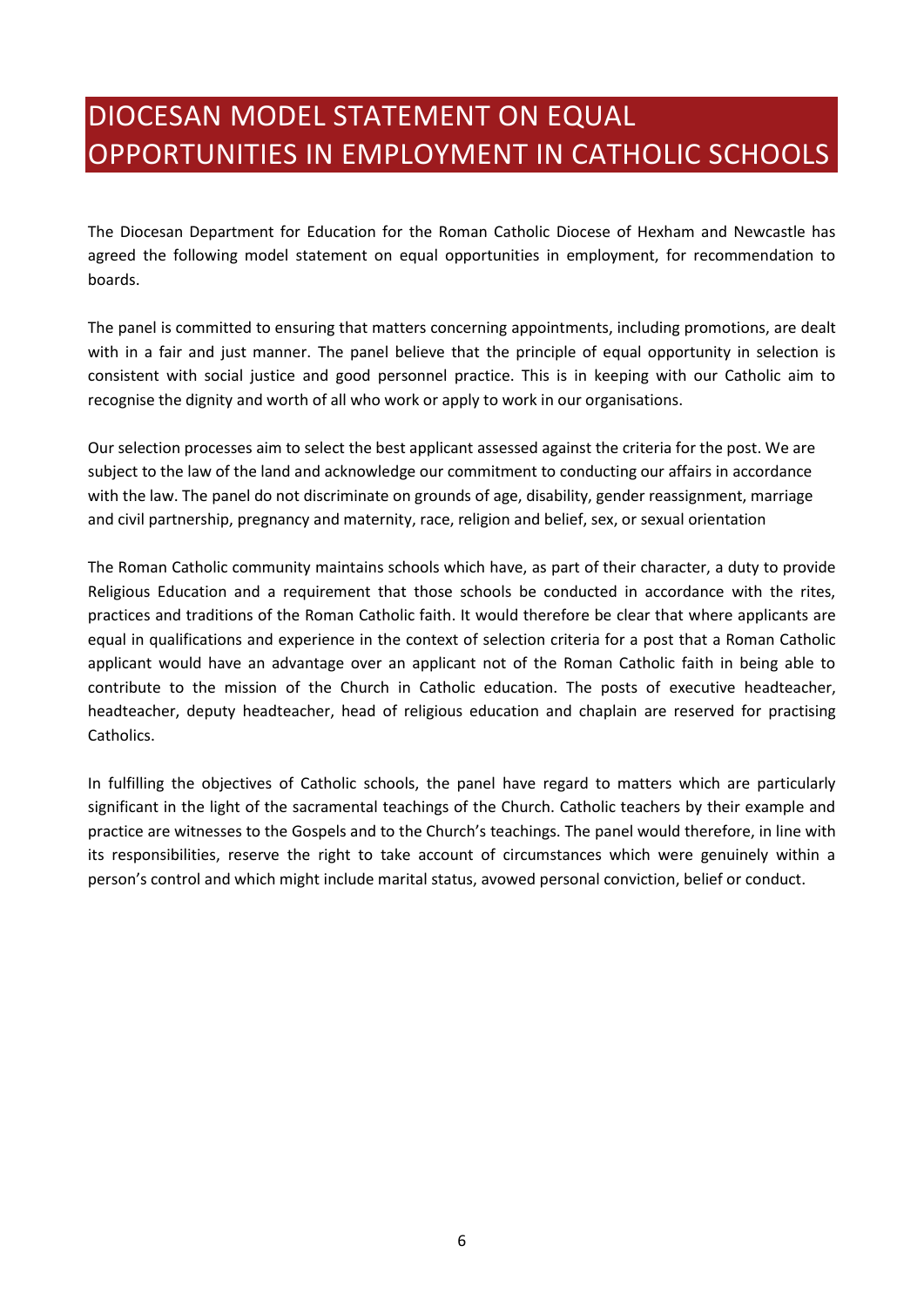# <span id="page-7-0"></span>DIOCESAN MODEL STATEMENT ON EQUAL OPPORTUNITIES IN EMPLOYMENT IN CATHOLIC SCHOOLS

The Diocesan Department for Education for the Roman Catholic Diocese of Hexham and Newcastle has agreed the following model statement on equal opportunities in employment, for recommendation to boards.

The panel is committed to ensuring that matters concerning appointments, including promotions, are dealt with in a fair and just manner. The panel believe that the principle of equal opportunity in selection is consistent with social justice and good personnel practice. This is in keeping with our Catholic aim to recognise the dignity and worth of all who work or apply to work in our organisations.

Our selection processes aim to select the best applicant assessed against the criteria for the post. We are subject to the law of the land and acknowledge our commitment to conducting our affairs in accordance with the law. The panel do not discriminate on grounds of age, disability, gender reassignment, marriage and civil partnership, pregnancy and maternity, race, religion and belief, sex, or sexual orientation

The Roman Catholic community maintains schools which have, as part of their character, a duty to provide Religious Education and a requirement that those schools be conducted in accordance with the rites, practices and traditions of the Roman Catholic faith. It would therefore be clear that where applicants are equal in qualifications and experience in the context of selection criteria for a post that a Roman Catholic applicant would have an advantage over an applicant not of the Roman Catholic faith in being able to contribute to the mission of the Church in Catholic education. The posts of executive headteacher, headteacher, deputy headteacher, head of religious education and chaplain are reserved for practising Catholics.

In fulfilling the objectives of Catholic schools, the panel have regard to matters which are particularly significant in the light of the sacramental teachings of the Church. Catholic teachers by their example and practice are witnesses to the Gospels and to the Church's teachings. The panel would therefore, in line with its responsibilities, reserve the right to take account of circumstances which were genuinely within a person's control and which might include marital status, avowed personal conviction, belief or conduct.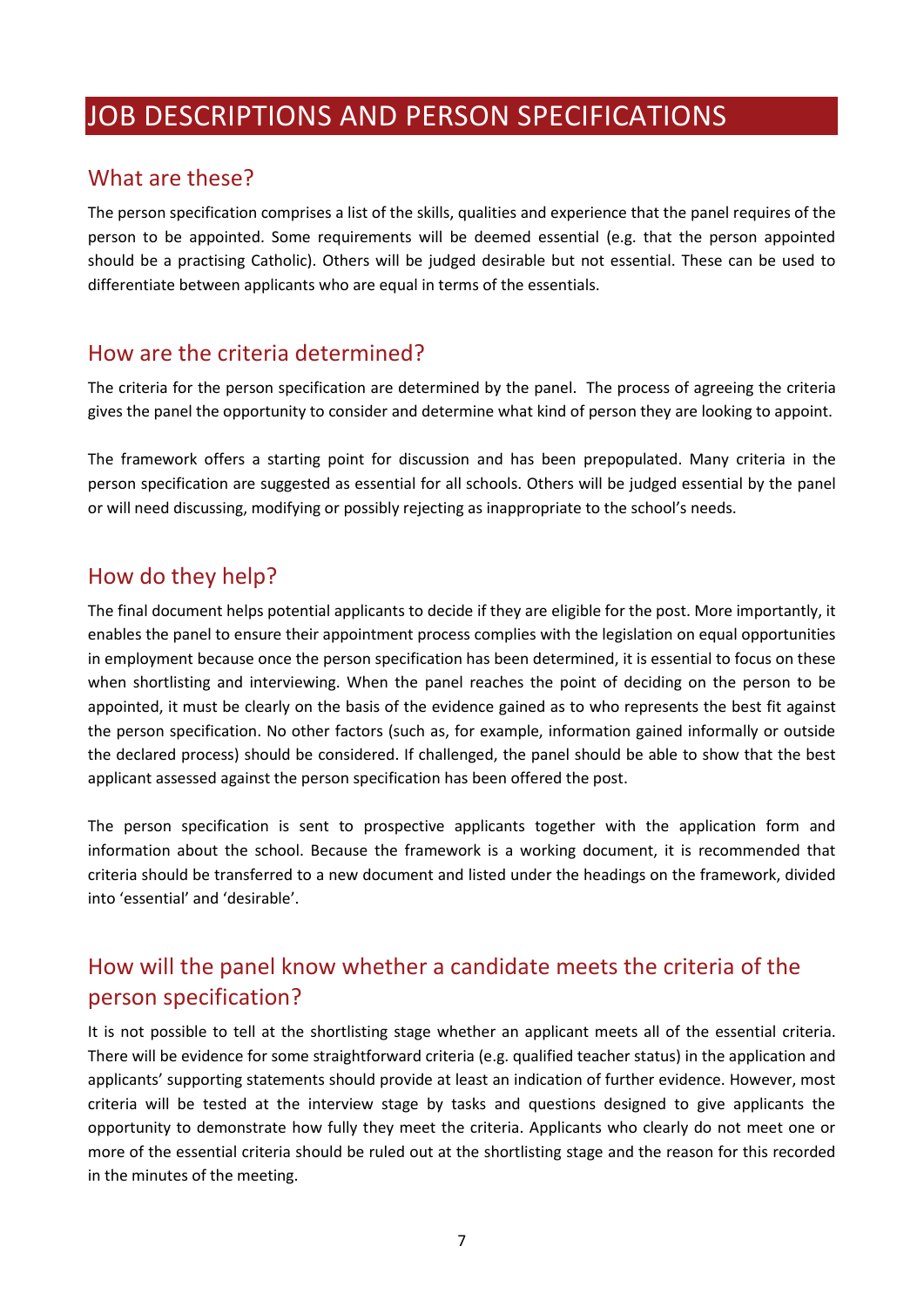## <span id="page-8-0"></span>JOB DESCRIPTIONS AND PERSON SPECIFICATIONS

#### <span id="page-8-1"></span>What are these?

The person specification comprises a list of the skills, qualities and experience that the panel requires of the person to be appointed. Some requirements will be deemed essential (e.g. that the person appointed should be a practising Catholic). Others will be judged desirable but not essential. These can be used to differentiate between applicants who are equal in terms of the essentials.

#### <span id="page-8-2"></span>How are the criteria determined?

The criteria for the person specification are determined by the panel. The process of agreeing the criteria gives the panel the opportunity to consider and determine what kind of person they are looking to appoint.

The framework offers a starting point for discussion and has been prepopulated. Many criteria in the person specification are suggested as essential for all schools. Others will be judged essential by the panel or will need discussing, modifying or possibly rejecting as inappropriate to the school's needs.

### <span id="page-8-3"></span>How do they help?

The final document helps potential applicants to decide if they are eligible for the post. More importantly, it enables the panel to ensure their appointment process complies with the legislation on equal opportunities in employment because once the person specification has been determined, it is essential to focus on these when shortlisting and interviewing. When the panel reaches the point of deciding on the person to be appointed, it must be clearly on the basis of the evidence gained as to who represents the best fit against the person specification. No other factors (such as, for example, information gained informally or outside the declared process) should be considered. If challenged, the panel should be able to show that the best applicant assessed against the person specification has been offered the post.

The person specification is sent to prospective applicants together with the application form and information about the school. Because the framework is a working document, it is recommended that criteria should be transferred to a new document and listed under the headings on the framework, divided into 'essential' and 'desirable'.

## <span id="page-8-4"></span>How will the panel know whether a candidate meets the criteria of the person specification?

It is not possible to tell at the shortlisting stage whether an applicant meets all of the essential criteria. There will be evidence for some straightforward criteria (e.g. qualified teacher status) in the application and applicants' supporting statements should provide at least an indication of further evidence. However, most criteria will be tested at the interview stage by tasks and questions designed to give applicants the opportunity to demonstrate how fully they meet the criteria. Applicants who clearly do not meet one or more of the essential criteria should be ruled out at the shortlisting stage and the reason for this recorded in the minutes of the meeting.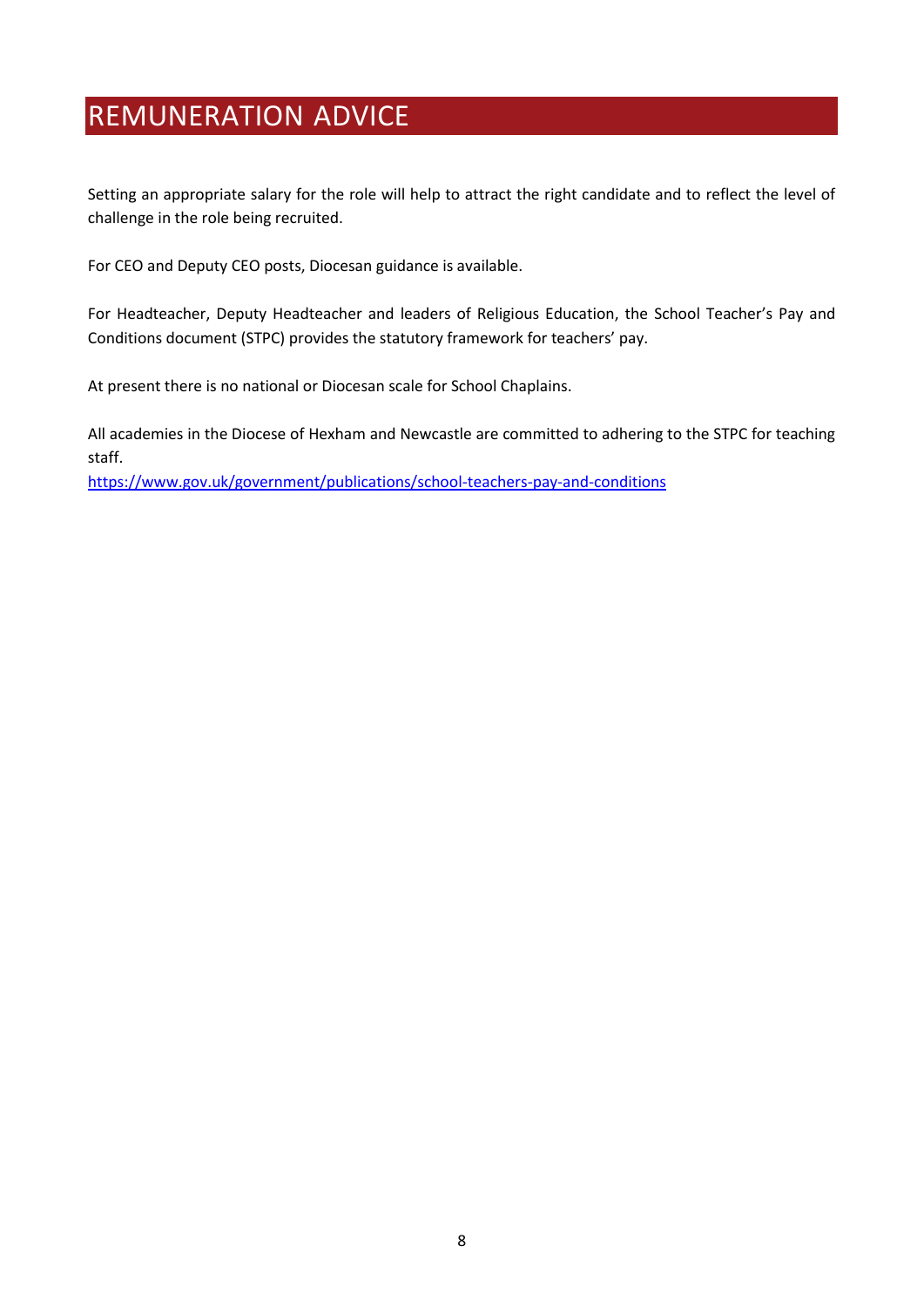## <span id="page-9-0"></span>REMUNERATION ADVICE

Setting an appropriate salary for the role will help to attract the right candidate and to reflect the level of challenge in the role being recruited.

For CEO and Deputy CEO posts, Diocesan guidance is available.

For Headteacher, Deputy Headteacher and leaders of Religious Education, the School Teacher's Pay and Conditions document (STPC) provides the statutory framework for teachers' pay.

At present there is no national or Diocesan scale for School Chaplains.

All academies in the Diocese of Hexham and Newcastle are committed to adhering to the STPC for teaching staff.

<https://www.gov.uk/government/publications/school-teachers-pay-and-conditions>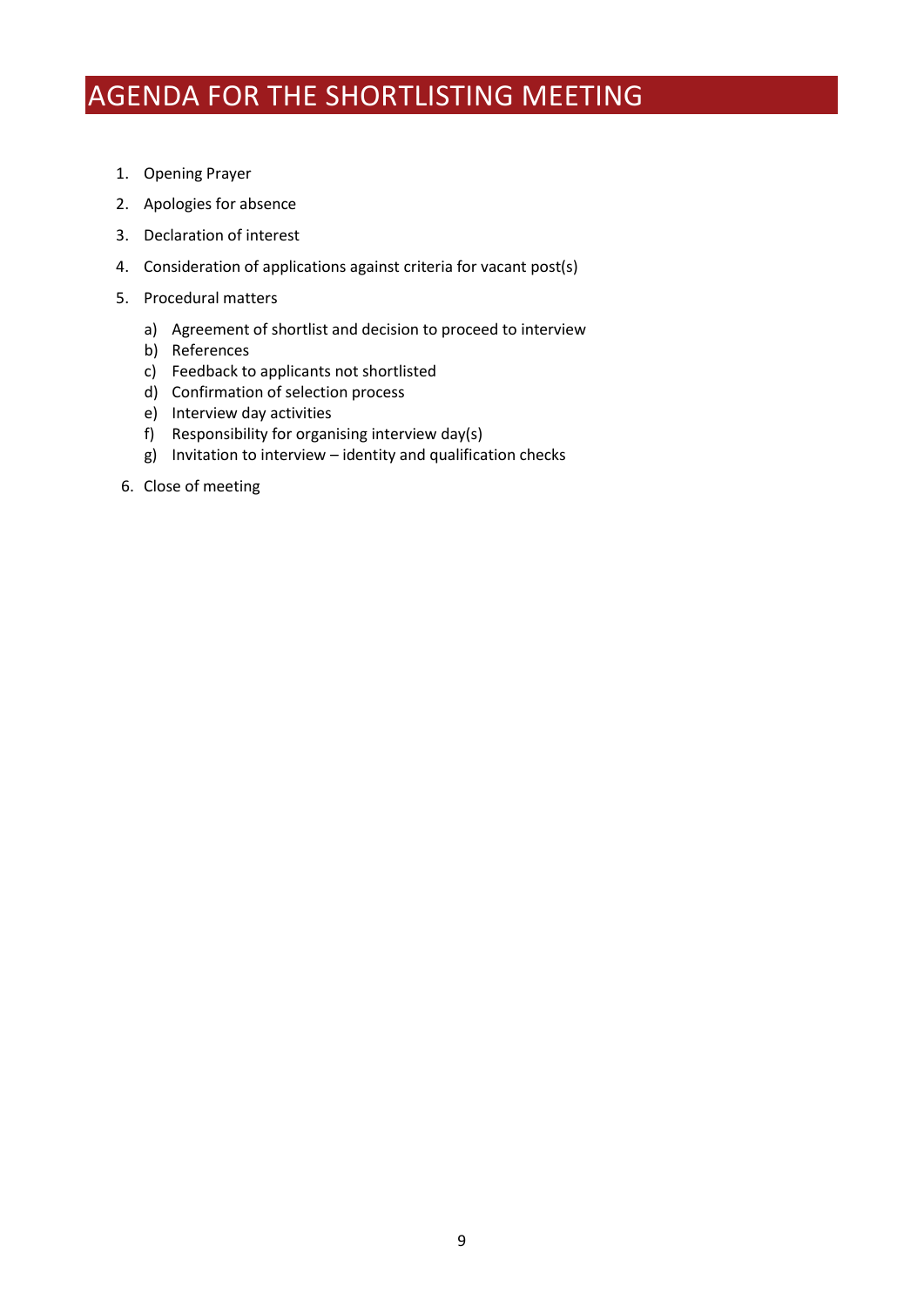# <span id="page-10-0"></span>AGENDA FOR THE SHORTLISTING MEETING

- 1. Opening Prayer
- 2. Apologies for absence
- 3. Declaration of interest
- 4. Consideration of applications against criteria for vacant post(s)
- 5. Procedural matters
	- a) Agreement of shortlist and decision to proceed to interview
	- b) References
	- c) Feedback to applicants not shortlisted
	- d) Confirmation of selection process
	- e) Interview day activities
	- f) Responsibility for organising interview day(s)
	- g) Invitation to interview identity and qualification checks
- 6. Close of meeting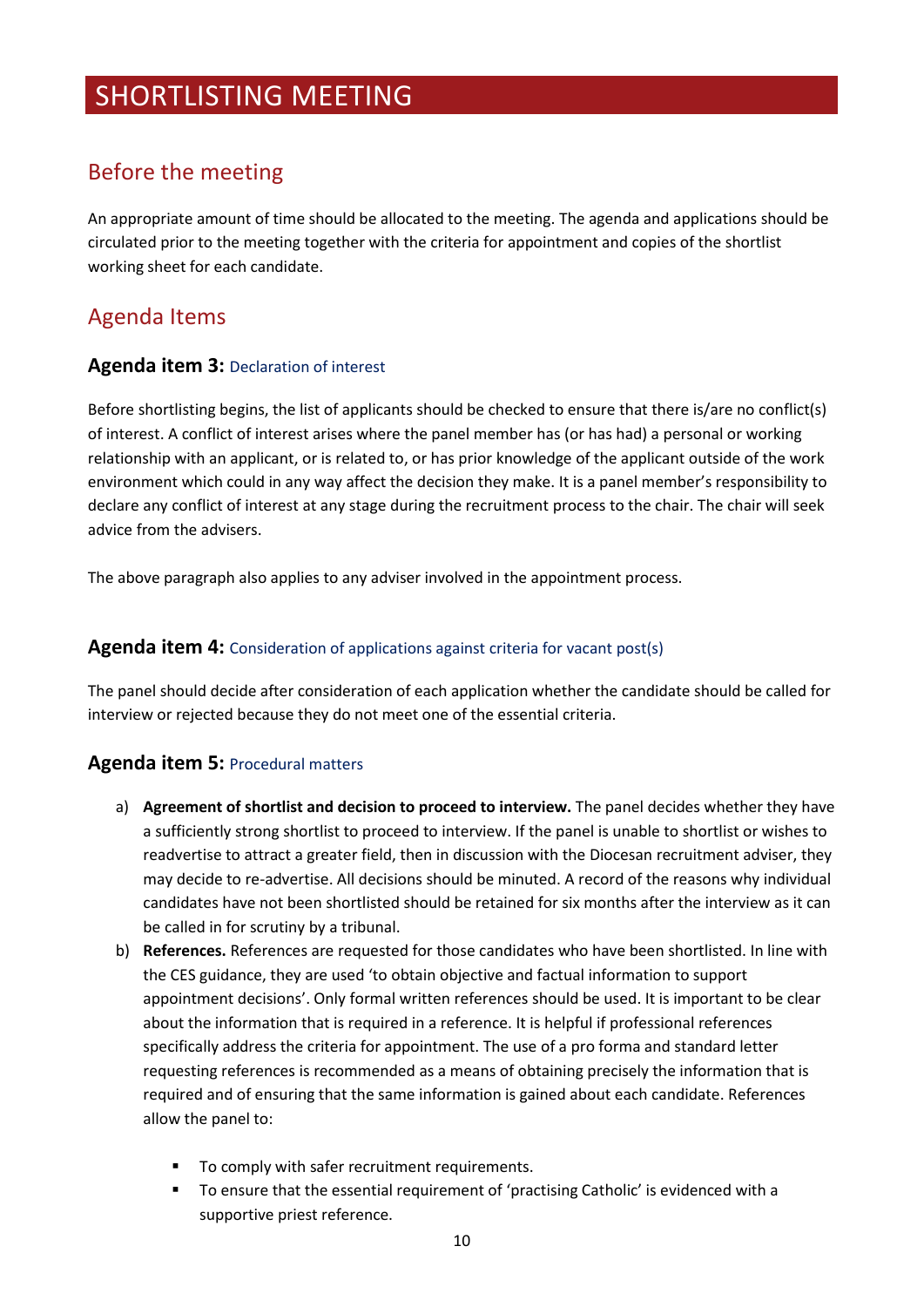## <span id="page-11-0"></span>SHORTLISTING MEETING

### Before the meeting

An appropriate amount of time should be allocated to the meeting. The agenda and applications should be circulated prior to the meeting together with the criteria for appointment and copies of the shortlist working sheet for each candidate.

### Agenda Items

#### **Agenda item 3:** Declaration of interest

Before shortlisting begins, the list of applicants should be checked to ensure that there is/are no conflict(s) of interest. A conflict of interest arises where the panel member has (or has had) a personal or working relationship with an applicant, or is related to, or has prior knowledge of the applicant outside of the work environment which could in any way affect the decision they make. It is a panel member's responsibility to declare any conflict of interest at any stage during the recruitment process to the chair. The chair will seek advice from the advisers.

The above paragraph also applies to any adviser involved in the appointment process.

#### **Agenda item 4:** Consideration of applications against criteria for vacant post(s)

The panel should decide after consideration of each application whether the candidate should be called for interview or rejected because they do not meet one of the essential criteria.

#### **Agenda item 5:** Procedural matters

- a) **Agreement of shortlist and decision to proceed to interview.** The panel decides whether they have a sufficiently strong shortlist to proceed to interview. If the panel is unable to shortlist or wishes to readvertise to attract a greater field, then in discussion with the Diocesan recruitment adviser, they may decide to re-advertise. All decisions should be minuted. A record of the reasons why individual candidates have not been shortlisted should be retained for six months after the interview as it can be called in for scrutiny by a tribunal.
- b) **References.** References are requested for those candidates who have been shortlisted. In line with the CES guidance, they are used 'to obtain objective and factual information to support appointment decisions'. Only formal written references should be used. It is important to be clear about the information that is required in a reference. It is helpful if professional references specifically address the criteria for appointment. The use of a pro forma and standard letter requesting references is recommended as a means of obtaining precisely the information that is required and of ensuring that the same information is gained about each candidate. References allow the panel to:
	- To comply with safer recruitment requirements.
	- To ensure that the essential requirement of 'practising Catholic' is evidenced with a supportive priest reference.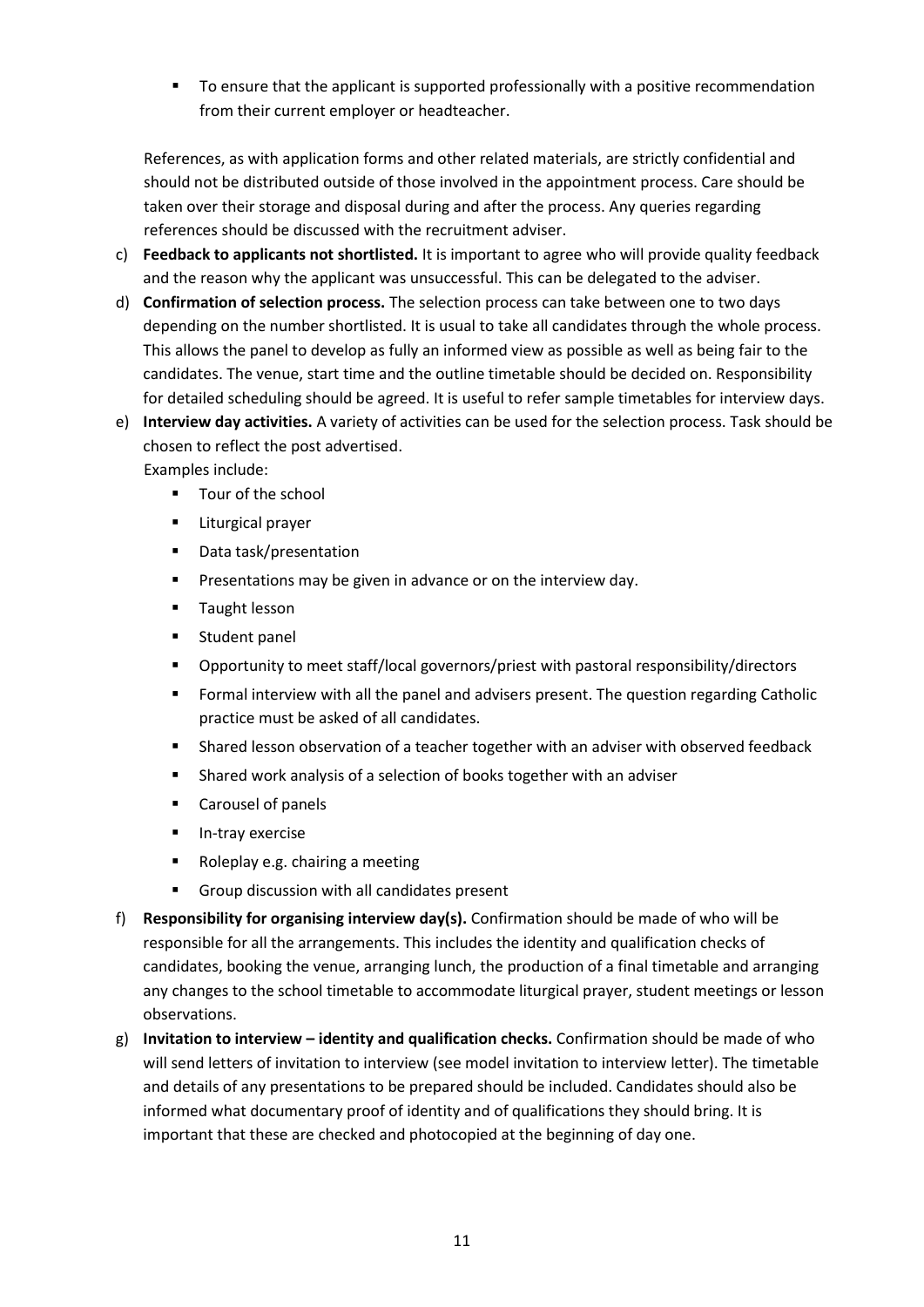■ To ensure that the applicant is supported professionally with a positive recommendation from their current employer or headteacher.

References, as with application forms and other related materials, are strictly confidential and should not be distributed outside of those involved in the appointment process. Care should be taken over their storage and disposal during and after the process. Any queries regarding references should be discussed with the recruitment adviser.

- c) **Feedback to applicants not shortlisted.** It is important to agree who will provide quality feedback and the reason why the applicant was unsuccessful. This can be delegated to the adviser.
- d) **Confirmation of selection process.** The selection process can take between one to two days depending on the number shortlisted. It is usual to take all candidates through the whole process. This allows the panel to develop as fully an informed view as possible as well as being fair to the candidates. The venue, start time and the outline timetable should be decided on. Responsibility for detailed scheduling should be agreed. It is useful to refer sample timetables for interview days.
- e) **Interview day activities.** A variety of activities can be used for the selection process. Task should be chosen to reflect the post advertised.

Examples include:

- Tour of the school
- **E** Liturgical prayer
- Data task/presentation
- Presentations may be given in advance or on the interview day.
- Taught lesson
- Student panel
- Opportunity to meet staff/local governors/priest with pastoral responsibility/directors
- Formal interview with all the panel and advisers present. The question regarding Catholic practice must be asked of all candidates.
- Shared lesson observation of a teacher together with an adviser with observed feedback
- Shared work analysis of a selection of books together with an adviser
- Carousel of panels
- **·** In-tray exercise
- Roleplay e.g. chairing a meeting
- Group discussion with all candidates present
- f) **Responsibility for organising interview day(s).** Confirmation should be made of who will be responsible for all the arrangements. This includes the identity and qualification checks of candidates, booking the venue, arranging lunch, the production of a final timetable and arranging any changes to the school timetable to accommodate liturgical prayer, student meetings or lesson observations.
- g) **Invitation to interview – identity and qualification checks.** Confirmation should be made of who will send letters of invitation to interview (see model invitation to interview letter). The timetable and details of any presentations to be prepared should be included. Candidates should also be informed what documentary proof of identity and of qualifications they should bring. It is important that these are checked and photocopied at the beginning of day one.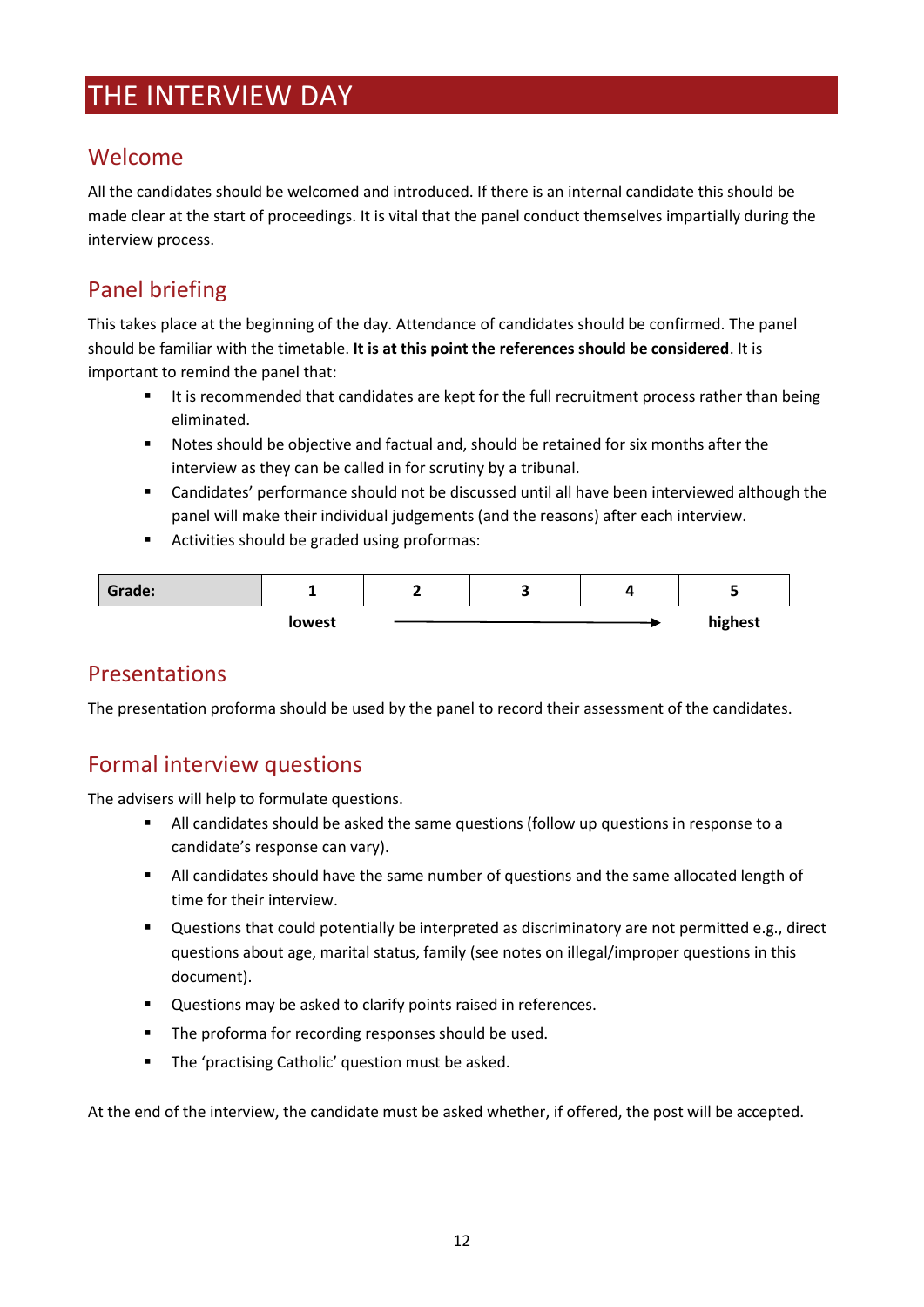## <span id="page-13-0"></span>THE INTERVIEW DAY

### Welcome

All the candidates should be welcomed and introduced. If there is an internal candidate this should be made clear at the start of proceedings. It is vital that the panel conduct themselves impartially during the interview process.

## Panel briefing

This takes place at the beginning of the day. Attendance of candidates should be confirmed. The panel should be familiar with the timetable. **It is at this point the references should be considered**. It is important to remind the panel that:

- It is recommended that candidates are kept for the full recruitment process rather than being eliminated.
- Notes should be objective and factual and, should be retained for six months after the interview as they can be called in for scrutiny by a tribunal.
- Candidates' performance should not be discussed until all have been interviewed although the panel will make their individual judgements (and the reasons) after each interview.
- Activities should be graded using proformas:

| Grade: |        | - | ٠ |         |
|--------|--------|---|---|---------|
|        | lowest |   |   | highest |

## Presentations

The presentation proforma should be used by the panel to record their assessment of the candidates.

## Formal interview questions

The advisers will help to formulate questions.

- All candidates should be asked the same questions (follow up questions in response to a candidate's response can vary).
- All candidates should have the same number of questions and the same allocated length of time for their interview.
- Questions that could potentially be interpreted as discriminatory are not permitted e.g., direct questions about age, marital status, family (see notes on illegal/improper questions in this document).
- Questions may be asked to clarify points raised in references.
- The proforma for recording responses should be used.
- The 'practising Catholic' question must be asked.

At the end of the interview, the candidate must be asked whether, if offered, the post will be accepted.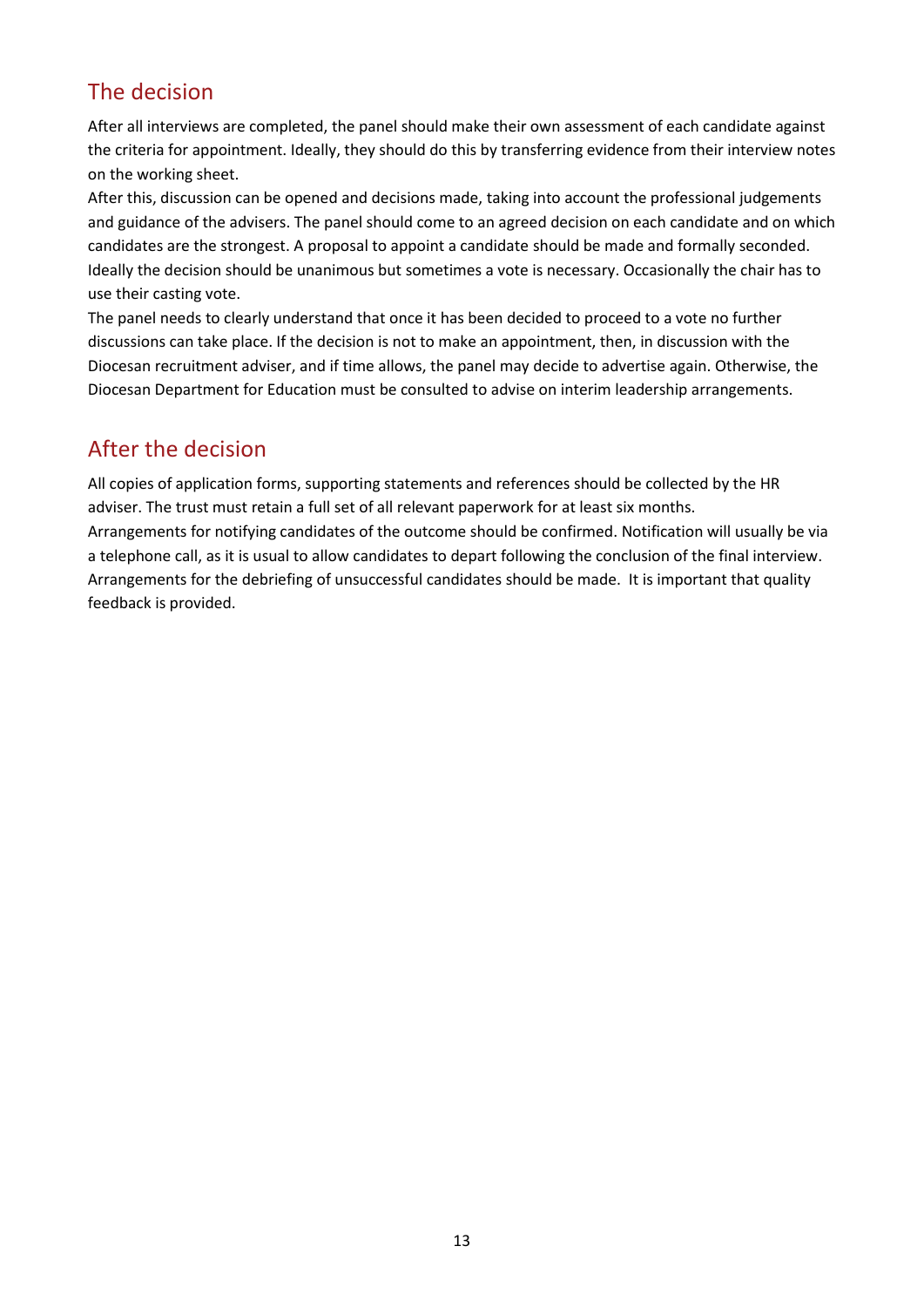## The decision

After all interviews are completed, the panel should make their own assessment of each candidate against the criteria for appointment. Ideally, they should do this by transferring evidence from their interview notes on the working sheet.

After this, discussion can be opened and decisions made, taking into account the professional judgements and guidance of the advisers. The panel should come to an agreed decision on each candidate and on which candidates are the strongest. A proposal to appoint a candidate should be made and formally seconded. Ideally the decision should be unanimous but sometimes a vote is necessary. Occasionally the chair has to use their casting vote.

The panel needs to clearly understand that once it has been decided to proceed to a vote no further discussions can take place. If the decision is not to make an appointment, then, in discussion with the Diocesan recruitment adviser, and if time allows, the panel may decide to advertise again. Otherwise, the Diocesan Department for Education must be consulted to advise on interim leadership arrangements.

## After the decision

All copies of application forms, supporting statements and references should be collected by the HR adviser. The trust must retain a full set of all relevant paperwork for at least six months. Arrangements for notifying candidates of the outcome should be confirmed. Notification will usually be via a telephone call, as it is usual to allow candidates to depart following the conclusion of the final interview. Arrangements for the debriefing of unsuccessful candidates should be made. It is important that quality feedback is provided.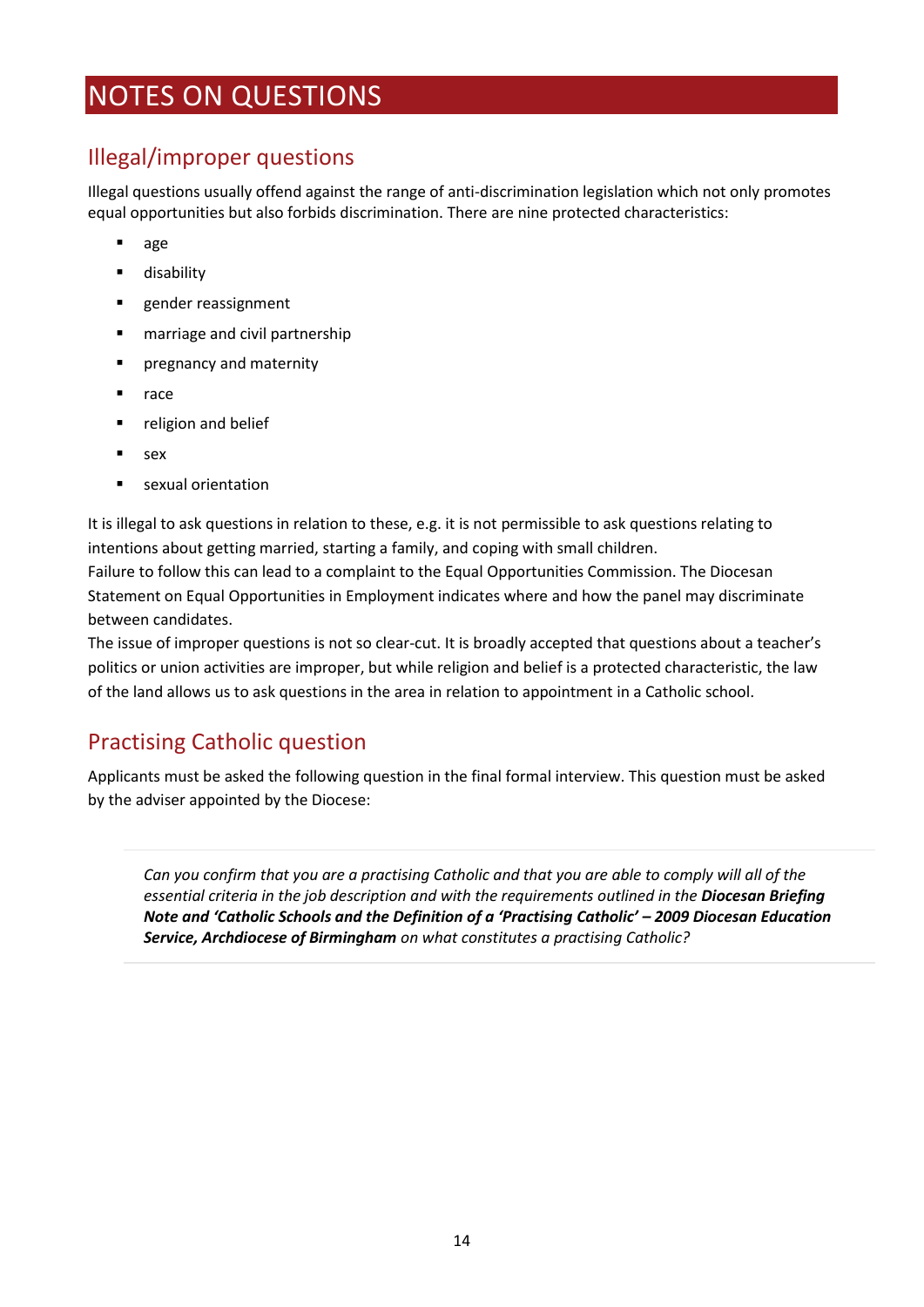## <span id="page-15-0"></span>NOTES ON QUESTIONS

## Illegal/improper questions

Illegal questions usually offend against the range of anti-discrimination legislation which not only promotes equal opportunities but also forbids discrimination. There are nine protected characteristics:

- age
- disability
- gender reassignment
- marriage and civil partnership
- **•** pregnancy and maternity
- race
- religion and belief
- sex
- sexual orientation

It is illegal to ask questions in relation to these, e.g. it is not permissible to ask questions relating to intentions about getting married, starting a family, and coping with small children.

Failure to follow this can lead to a complaint to the Equal Opportunities Commission. The Diocesan Statement on Equal Opportunities in Employment indicates where and how the panel may discriminate between candidates.

The issue of improper questions is not so clear-cut. It is broadly accepted that questions about a teacher's politics or union activities are improper, but while religion and belief is a protected characteristic, the law of the land allows us to ask questions in the area in relation to appointment in a Catholic school.

### Practising Catholic question

Applicants must be asked the following question in the final formal interview. This question must be asked by the adviser appointed by the Diocese:

*Can you confirm that you are a practising Catholic and that you are able to comply will all of the essential criteria in the job description and with the requirements outlined in the Diocesan Briefing Note and 'Catholic Schools and the Definition of a 'Practising Catholic' – 2009 Diocesan Education Service, Archdiocese of Birmingham on what constitutes a practising Catholic?*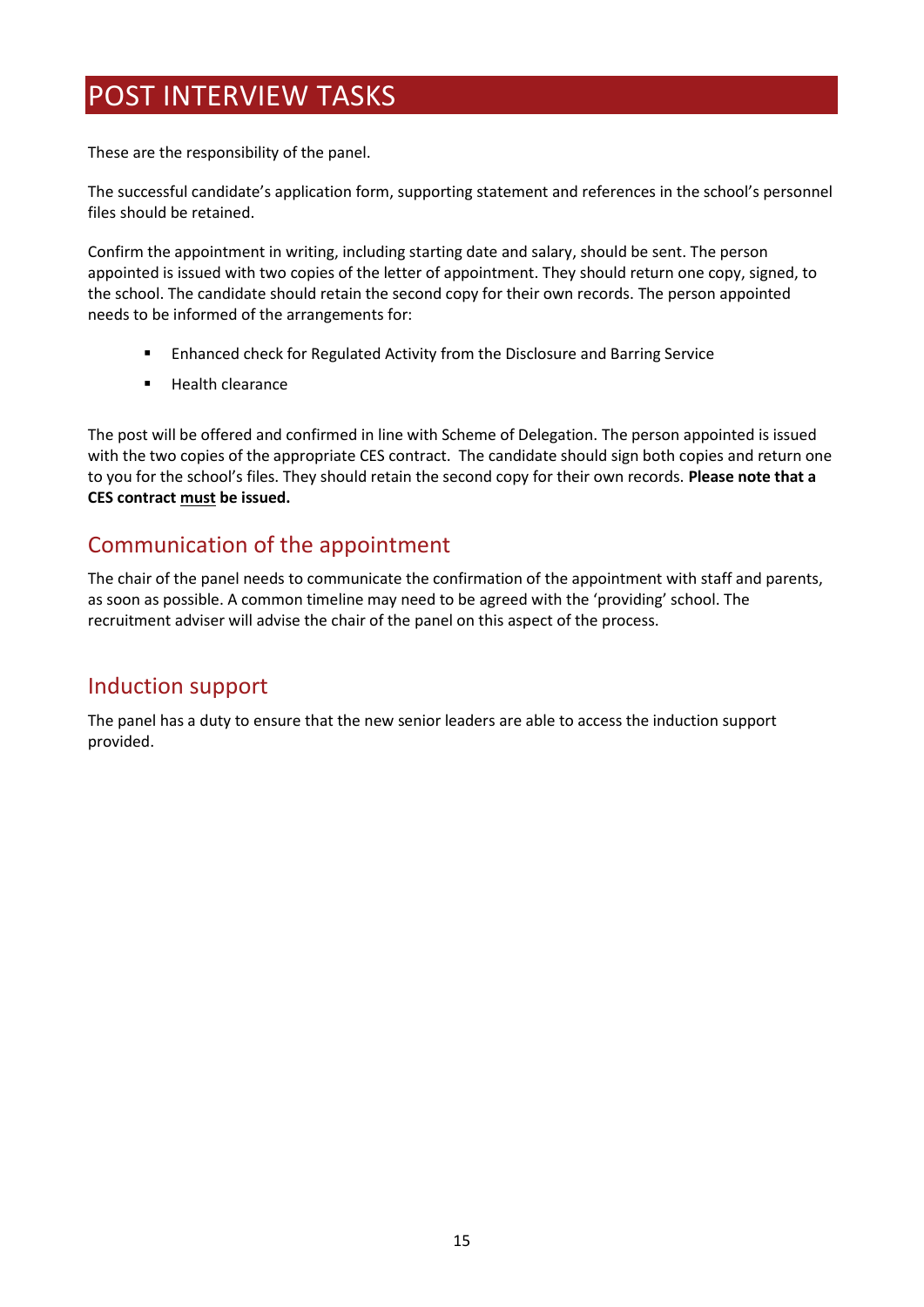## <span id="page-16-0"></span>POST INTERVIEW TASKS

These are the responsibility of the panel.

The successful candidate's application form, supporting statement and references in the school's personnel files should be retained.

Confirm the appointment in writing, including starting date and salary, should be sent. The person appointed is issued with two copies of the letter of appointment. They should return one copy, signed, to the school. The candidate should retain the second copy for their own records. The person appointed needs to be informed of the arrangements for:

- Enhanced check for Regulated Activity from the Disclosure and Barring Service
- Health clearance

The post will be offered and confirmed in line with Scheme of Delegation. The person appointed is issued with the two copies of the appropriate CES contract. The candidate should sign both copies and return one to you for the school's files. They should retain the second copy for their own records. **Please note that a CES contract must be issued.**

### Communication of the appointment

The chair of the panel needs to communicate the confirmation of the appointment with staff and parents, as soon as possible. A common timeline may need to be agreed with the 'providing' school. The recruitment adviser will advise the chair of the panel on this aspect of the process.

### Induction support

The panel has a duty to ensure that the new senior leaders are able to access the induction support provided.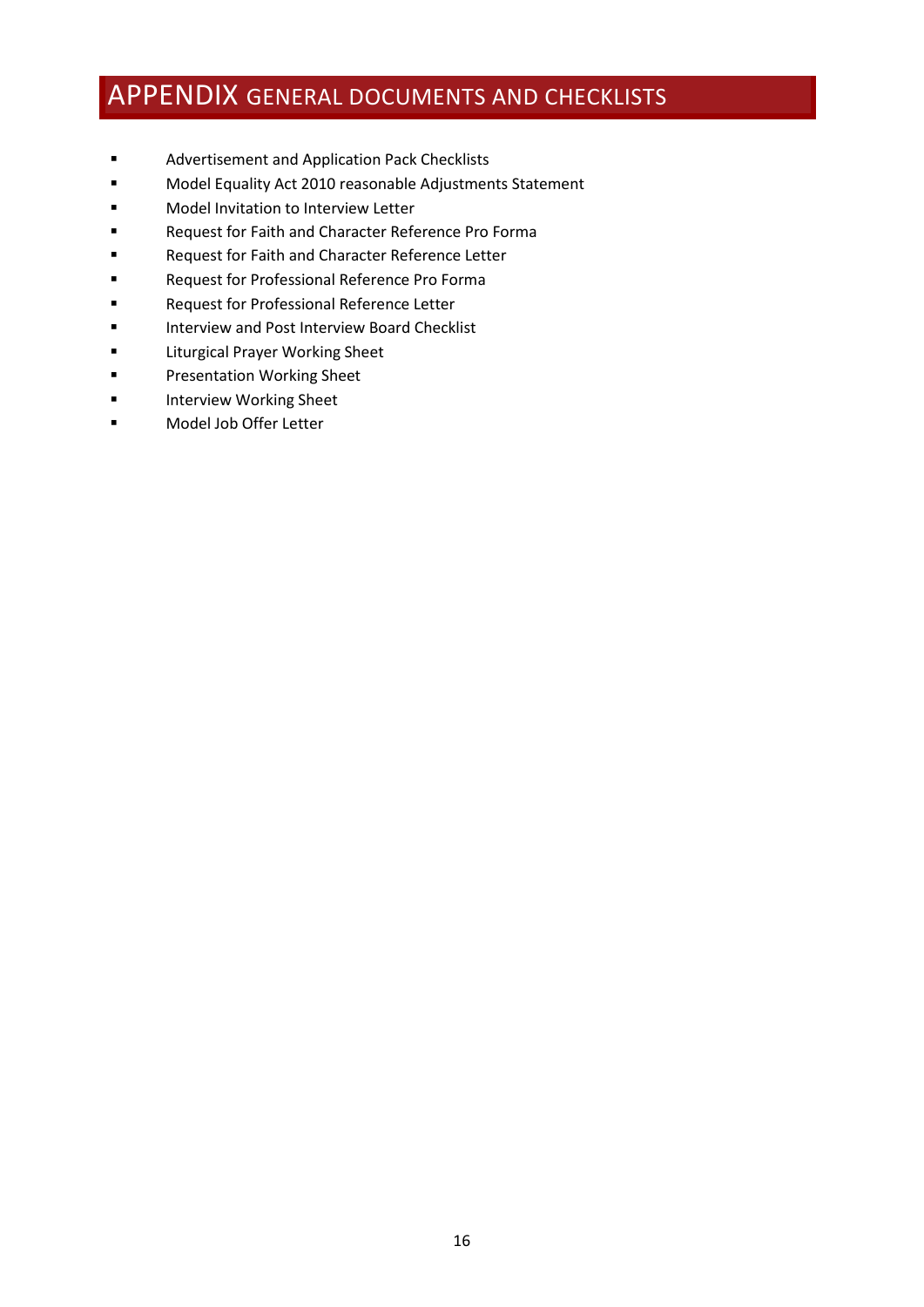## <span id="page-17-0"></span>APPENDIX GENERAL DOCUMENTS AND CHECKLISTS

- Advertisement and Application Pack Checklists
- Model Equality Act 2010 reasonable Adjustments Statement
- Model Invitation to Interview Letter
- Request for Faith and Character Reference Pro Forma
- Request for Faith and Character Reference Letter
- Request for Professional Reference Pro Forma
- Request for Professional Reference Letter
- Interview and Post Interview Board Checklist
- Liturgical Prayer Working Sheet
- Presentation Working Sheet
- Interview Working Sheet
- Model Job Offer Letter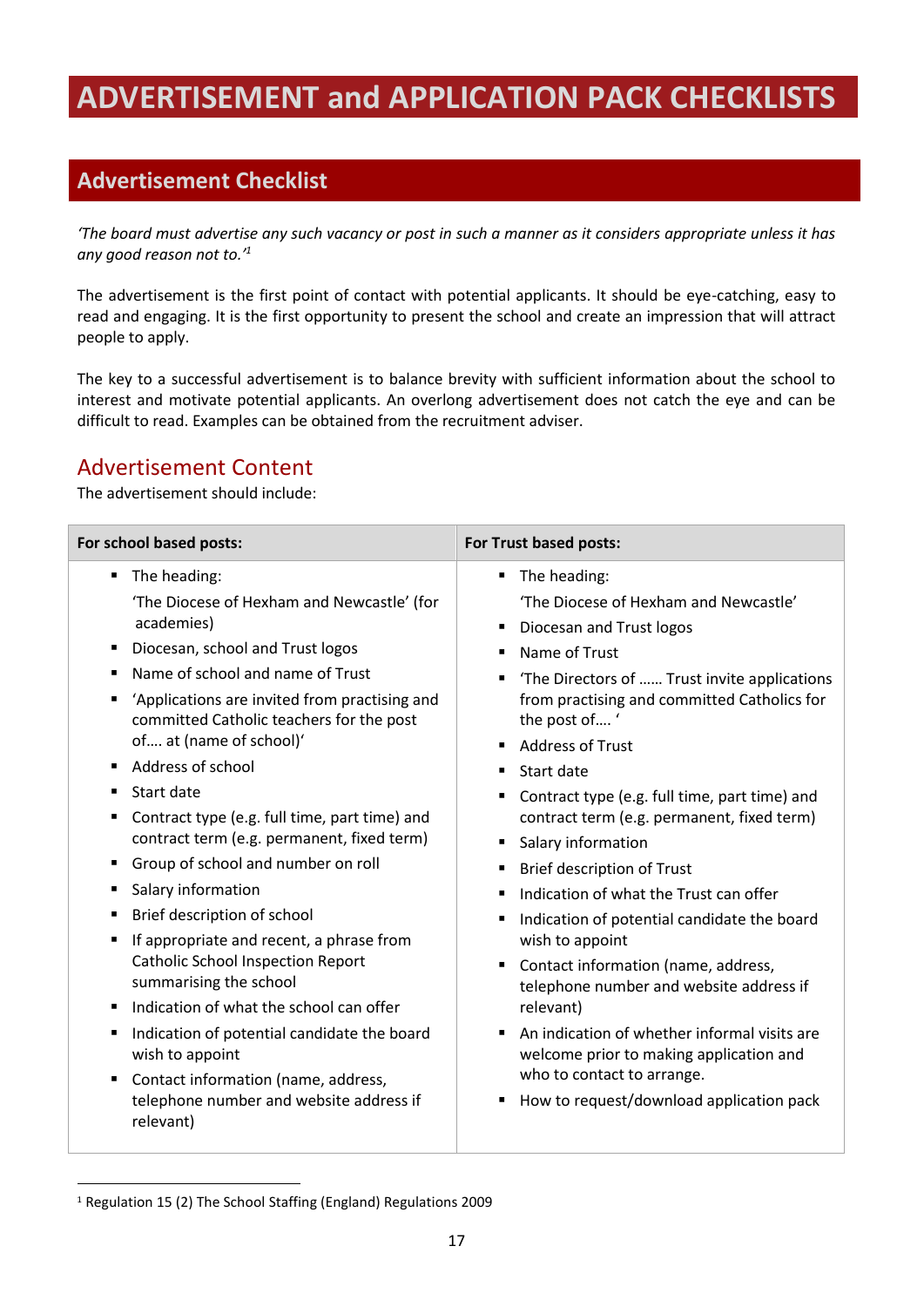# <span id="page-18-0"></span>**ADVERTISEMENT and APPLICATION PACK CHECKLISTS**

## **Advertisement Checklist**

*'The board must advertise any such vacancy or post in such a manner as it considers appropriate unless it has any good reason not to.' 1*

The advertisement is the first point of contact with potential applicants. It should be eye-catching, easy to read and engaging. It is the first opportunity to present the school and create an impression that will attract people to apply.

The key to a successful advertisement is to balance brevity with sufficient information about the school to interest and motivate potential applicants. An overlong advertisement does not catch the eye and can be difficult to read. Examples can be obtained from the recruitment adviser.

### Advertisement Content

The advertisement should include:

| For school based posts:                                                                                                                                                                                                                                                                                                                                                                                                                                                                                                                                                                                                                                                                                                                                                 | For Trust based posts:                                                                                                                                                                                                                                                                                                                                                                                                                                                                                                                                                                                                                                                                                                                                                                                                                            |
|-------------------------------------------------------------------------------------------------------------------------------------------------------------------------------------------------------------------------------------------------------------------------------------------------------------------------------------------------------------------------------------------------------------------------------------------------------------------------------------------------------------------------------------------------------------------------------------------------------------------------------------------------------------------------------------------------------------------------------------------------------------------------|---------------------------------------------------------------------------------------------------------------------------------------------------------------------------------------------------------------------------------------------------------------------------------------------------------------------------------------------------------------------------------------------------------------------------------------------------------------------------------------------------------------------------------------------------------------------------------------------------------------------------------------------------------------------------------------------------------------------------------------------------------------------------------------------------------------------------------------------------|
| The heading:<br>٠<br>'The Diocese of Hexham and Newcastle' (for<br>academies)<br>Diocesan, school and Trust logos<br>٠<br>Name of school and name of Trust<br>'Applications are invited from practising and<br>committed Catholic teachers for the post<br>of at (name of school)'<br>Address of school<br>Start date<br>■<br>Contract type (e.g. full time, part time) and<br>٠<br>contract term (e.g. permanent, fixed term)<br>Group of school and number on roll<br>Salary information<br>п<br>Brief description of school<br>п<br>If appropriate and recent, a phrase from<br><b>Catholic School Inspection Report</b><br>summarising the school<br>Indication of what the school can offer<br>Indication of potential candidate the board<br>п<br>wish to appoint | The heading:<br>٠<br>'The Diocese of Hexham and Newcastle'<br>Diocesan and Trust logos<br>п<br>Name of Trust<br>$\blacksquare$<br>'The Directors of  Trust invite applications<br>from practising and committed Catholics for<br>the post of'<br><b>Address of Trust</b><br>٠<br>Start date<br>$\blacksquare$<br>Contract type (e.g. full time, part time) and<br>٠<br>contract term (e.g. permanent, fixed term)<br>Salary information<br>٠<br><b>Brief description of Trust</b><br>٠<br>Indication of what the Trust can offer<br>$\blacksquare$<br>Indication of potential candidate the board<br>٠<br>wish to appoint<br>Contact information (name, address,<br>telephone number and website address if<br>relevant)<br>An indication of whether informal visits are<br>welcome prior to making application and<br>who to contact to arrange. |
| Contact information (name, address,<br>٠<br>telephone number and website address if<br>relevant)                                                                                                                                                                                                                                                                                                                                                                                                                                                                                                                                                                                                                                                                        | How to request/download application pack                                                                                                                                                                                                                                                                                                                                                                                                                                                                                                                                                                                                                                                                                                                                                                                                          |

<sup>1</sup> Regulation 15 (2) The School Staffing (England) Regulations 2009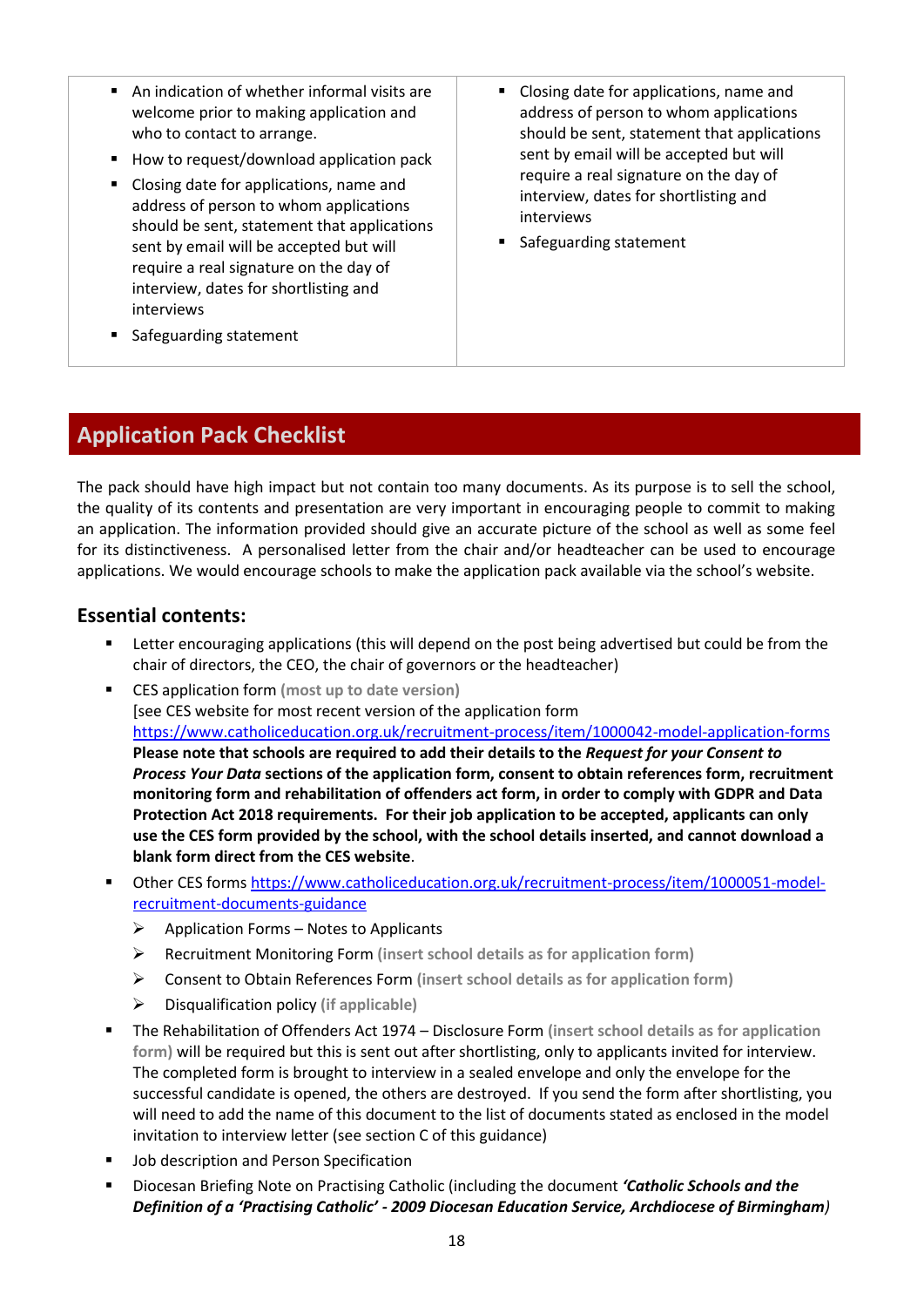- An indication of whether informal visits are welcome prior to making application and who to contact to arrange.
- How to request/download application pack
- Closing date for applications, name and address of person to whom applications should be sent, statement that applications sent by email will be accepted but will require a real signature on the day of interview, dates for shortlisting and interviews
- Closing date for applications, name and address of person to whom applications should be sent, statement that applications sent by email will be accepted but will require a real signature on the day of interview, dates for shortlisting and interviews
- Safeguarding statement

■ Safeguarding statement

### **Application Pack Checklist**

The pack should have high impact but not contain too many documents. As its purpose is to sell the school, the quality of its contents and presentation are very important in encouraging people to commit to making an application. The information provided should give an accurate picture of the school as well as some feel for its distinctiveness. A personalised letter from the chair and/or headteacher can be used to encourage applications. We would encourage schools to make the application pack available via the school's website.

#### **Essential contents:**

- Letter encouraging applications (this will depend on the post being advertised but could be from the chair of directors, the CEO, the chair of governors or the headteacher)
- CES application form **(most up to date version)** [see CES website for most recent version of the application form <https://www.catholiceducation.org.uk/recruitment-process/item/1000042-model-application-forms> **Please note that schools are required to add their details to the** *Request for your Consent to Process Your Data* **sections of the application form, consent to obtain references form, recruitment monitoring form and rehabilitation of offenders act form, in order to comply with GDPR and Data Protection Act 2018 requirements. For their job application to be accepted, applicants can only use the CES form provided by the school, with the school details inserted, and cannot download a blank form direct from the CES website**.
- Other CES form[s https://www.catholiceducation.org.uk/recruitment-process/item/1000051-model](https://www.catholiceducation.org.uk/recruitment-process/item/1000051-model-recruitment-documents-guidance)[recruitment-documents-guidance](https://www.catholiceducation.org.uk/recruitment-process/item/1000051-model-recruitment-documents-guidance)
	- $\triangleright$  Application Forms Notes to Applicants
	- ➢ Recruitment Monitoring Form **(insert school details as for application form)**
	- ➢ Consent to Obtain References Form **(insert school details as for application form)**
	- ➢ Disqualification policy **(if applicable)**
- The Rehabilitation of Offenders Act 1974 Disclosure Form (insert school details as for application **form)** will be required but this is sent out after shortlisting, only to applicants invited for interview. The completed form is brought to interview in a sealed envelope and only the envelope for the successful candidate is opened, the others are destroyed. If you send the form after shortlisting, you will need to add the name of this document to the list of documents stated as enclosed in the model invitation to interview letter (see section C of this guidance)
- Job description and Person Specification
- Diocesan Briefing Note on Practising Catholic (including the document *'Catholic Schools and the Definition of a 'Practising Catholic' - 2009 Diocesan Education Service, Archdiocese of Birmingham)*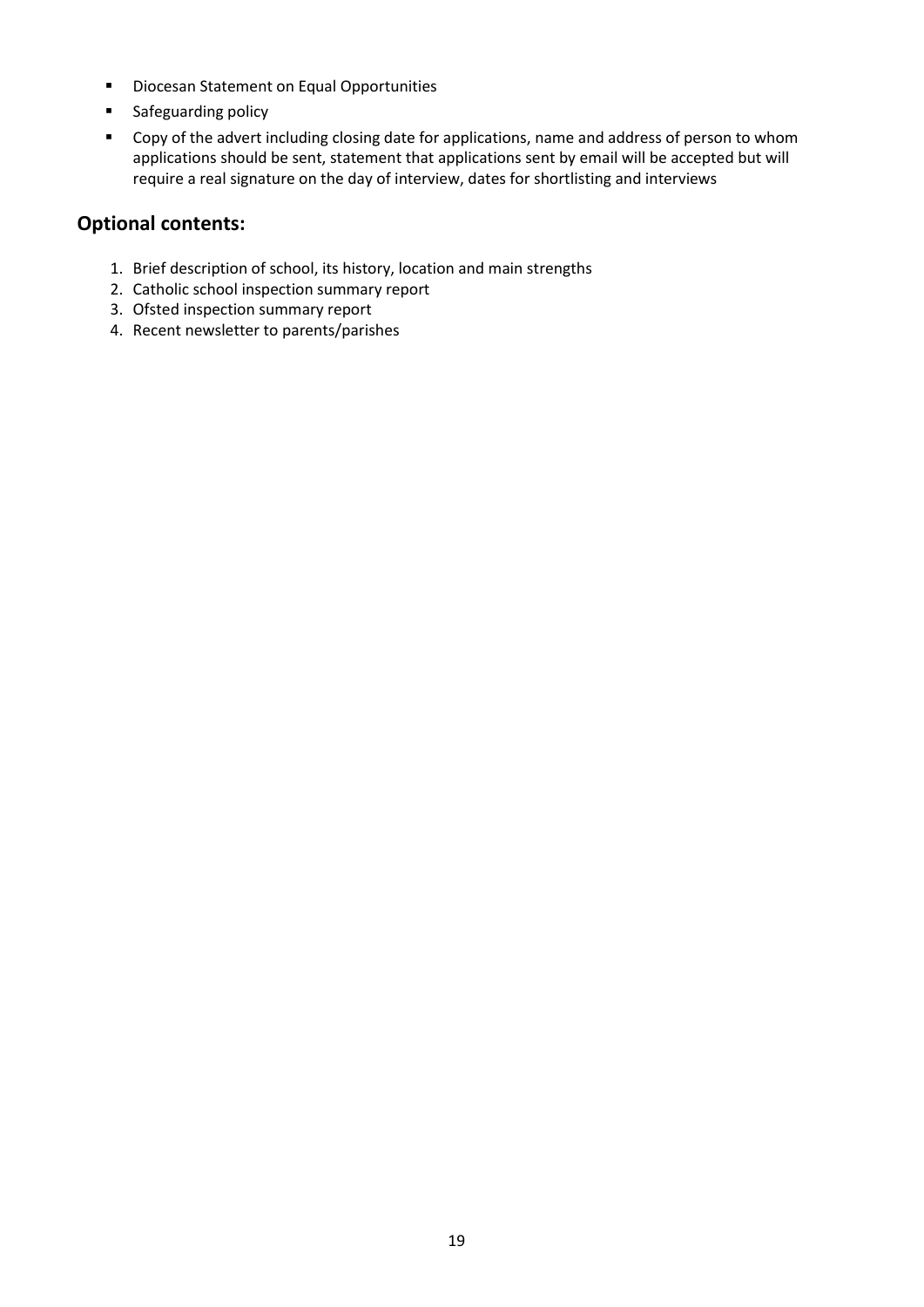- Diocesan Statement on Equal Opportunities
- Safeguarding policy
- Copy of the advert including closing date for applications, name and address of person to whom applications should be sent, statement that applications sent by email will be accepted but will require a real signature on the day of interview, dates for shortlisting and interviews

#### **Optional contents:**

- 1. Brief description of school, its history, location and main strengths
- 2. Catholic school inspection summary report
- 3. Ofsted inspection summary report
- 4. Recent newsletter to parents/parishes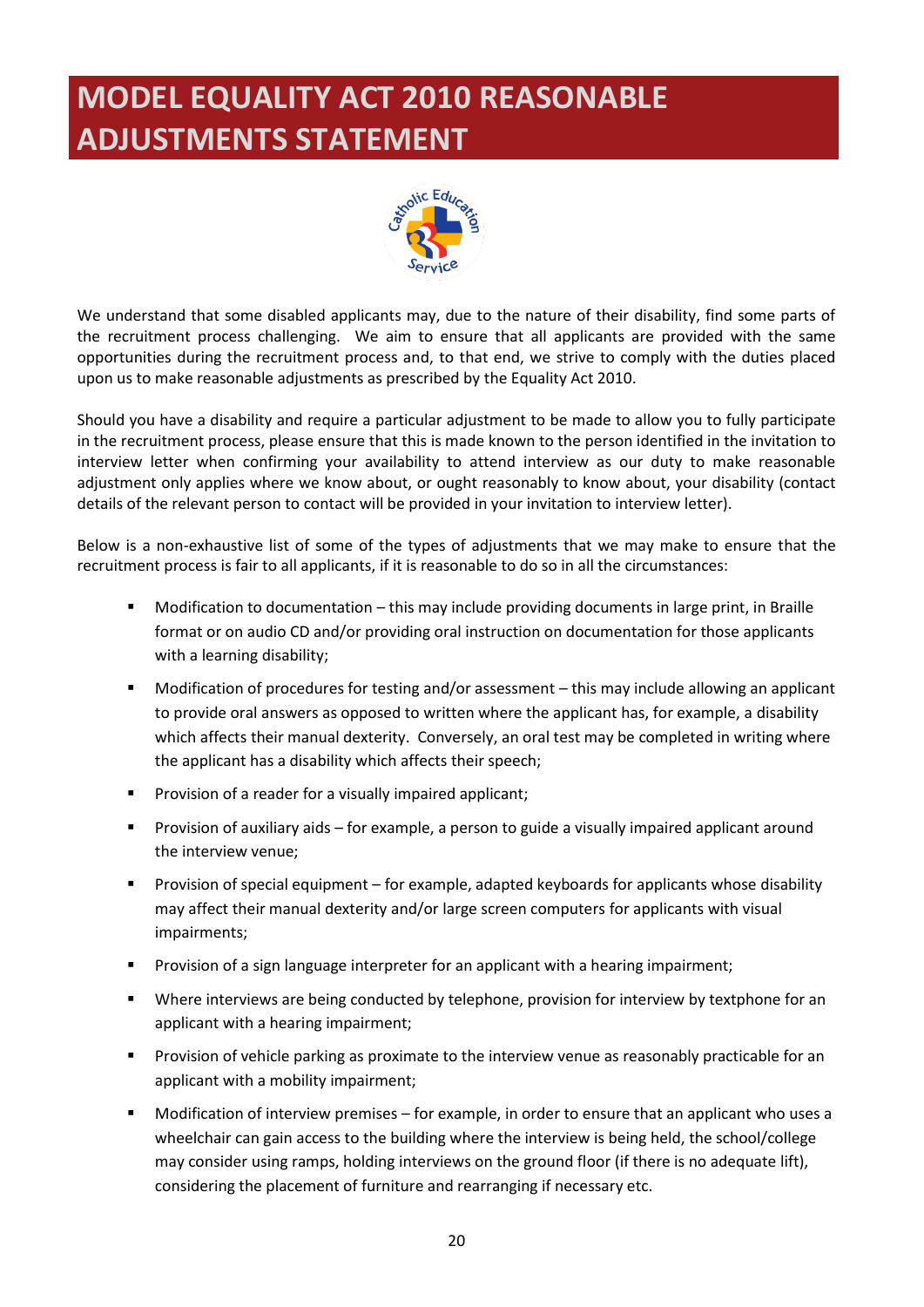# <span id="page-21-0"></span>**MODEL EQUALITY ACT 2010 REASONABLE ADJUSTMENTS STATEMENT**



We understand that some disabled applicants may, due to the nature of their disability, find some parts of the recruitment process challenging. We aim to ensure that all applicants are provided with the same opportunities during the recruitment process and, to that end, we strive to comply with the duties placed upon us to make reasonable adjustments as prescribed by the Equality Act 2010.

Should you have a disability and require a particular adjustment to be made to allow you to fully participate in the recruitment process, please ensure that this is made known to the person identified in the invitation to interview letter when confirming your availability to attend interview as our duty to make reasonable adjustment only applies where we know about, or ought reasonably to know about, your disability (contact details of the relevant person to contact will be provided in your invitation to interview letter).

Below is a non-exhaustive list of some of the types of adjustments that we may make to ensure that the recruitment process is fair to all applicants, if it is reasonable to do so in all the circumstances:

- Modification to documentation this may include providing documents in large print, in Braille format or on audio CD and/or providing oral instruction on documentation for those applicants with a learning disability;
- Modification of procedures for testing and/or assessment this may include allowing an applicant to provide oral answers as opposed to written where the applicant has, for example, a disability which affects their manual dexterity. Conversely, an oral test may be completed in writing where the applicant has a disability which affects their speech;
- Provision of a reader for a visually impaired applicant;
- Provision of auxiliary aids for example, a person to guide a visually impaired applicant around the interview venue;
- Provision of special equipment for example, adapted keyboards for applicants whose disability may affect their manual dexterity and/or large screen computers for applicants with visual impairments;
- Provision of a sign language interpreter for an applicant with a hearing impairment;
- Where interviews are being conducted by telephone, provision for interview by textphone for an applicant with a hearing impairment;
- Provision of vehicle parking as proximate to the interview venue as reasonably practicable for an applicant with a mobility impairment;
- Modification of interview premises for example, in order to ensure that an applicant who uses a wheelchair can gain access to the building where the interview is being held, the school/college may consider using ramps, holding interviews on the ground floor (if there is no adequate lift), considering the placement of furniture and rearranging if necessary etc.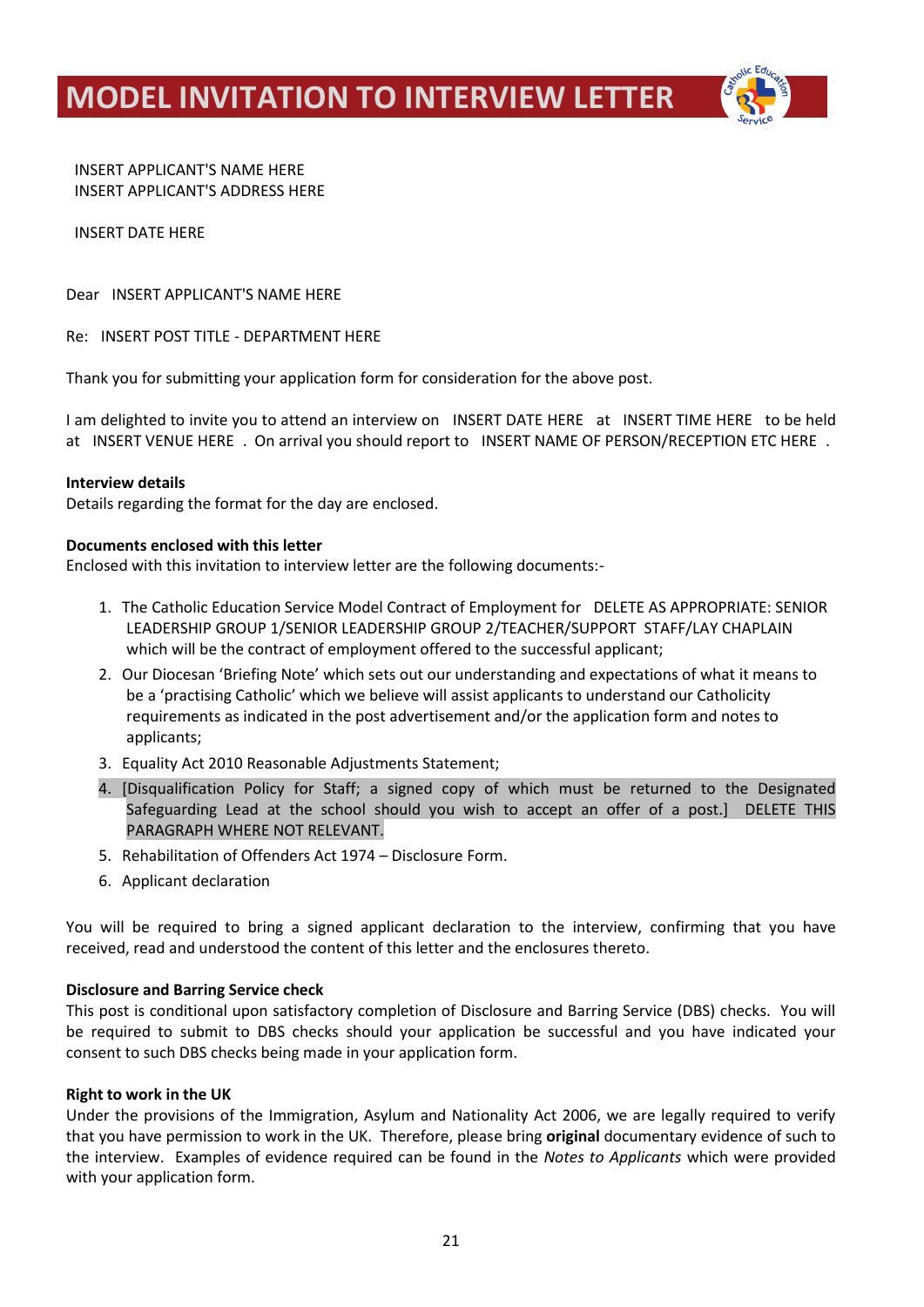<span id="page-22-0"></span>**MODEL INVITATION TO INTERVIEW LETTER**



INSERT APPLICANT'S NAME HERE INSERT APPLICANT'S ADDRESS HERE

#### INSERT DATE HERE

Dear INSERT APPLICANT'S NAME HERE

Re: INSERT POST TITLE - DEPARTMENT HERE

Thank you for submitting your application form for consideration for the above post.

I am delighted to invite you to attend an interview on INSERT DATE HERE at INSERT TIME HERE to be held at INSERT VENUE HERE . On arrival you should report to INSERT NAME OF PERSON/RECEPTION ETC HERE .

#### **Interview details**

Details regarding the format for the day are enclosed.

#### **Documents enclosed with this letter**

Enclosed with this invitation to interview letter are the following documents:-

- 1. The Catholic Education Service Model Contract of Employment for DELETE AS APPROPRIATE: SENIOR LEADERSHIP GROUP 1/SENIOR LEADERSHIP GROUP 2/TEACHER/SUPPORT STAFF/LAY CHAPLAIN which will be the contract of employment offered to the successful applicant;
- 2. Our Diocesan 'Briefing Note' which sets out our understanding and expectations of what it means to be a 'practising Catholic' which we believe will assist applicants to understand our Catholicity requirements as indicated in the post advertisement and/or the application form and notes to applicants;
- 3. Equality Act 2010 Reasonable Adjustments Statement;
- 4. [Disqualification Policy for Staff; a signed copy of which must be returned to the Designated Safeguarding Lead at the school should you wish to accept an offer of a post.] DELETE THIS PARAGRAPH WHERE NOT RELEVANT.
- 5. Rehabilitation of Offenders Act 1974 Disclosure Form.
- 6. Applicant declaration

You will be required to bring a signed applicant declaration to the interview, confirming that you have received, read and understood the content of this letter and the enclosures thereto.

#### **Disclosure and Barring Service check**

This post is conditional upon satisfactory completion of Disclosure and Barring Service (DBS) checks. You will be required to submit to DBS checks should your application be successful and you have indicated your consent to such DBS checks being made in your application form.

#### **Right to work in the UK**

Under the provisions of the Immigration, Asylum and Nationality Act 2006, we are legally required to verify that you have permission to work in the UK. Therefore, please bring **original** documentary evidence of such to the interview. Examples of evidence required can be found in the *Notes to Applicants* which were provided with your application form.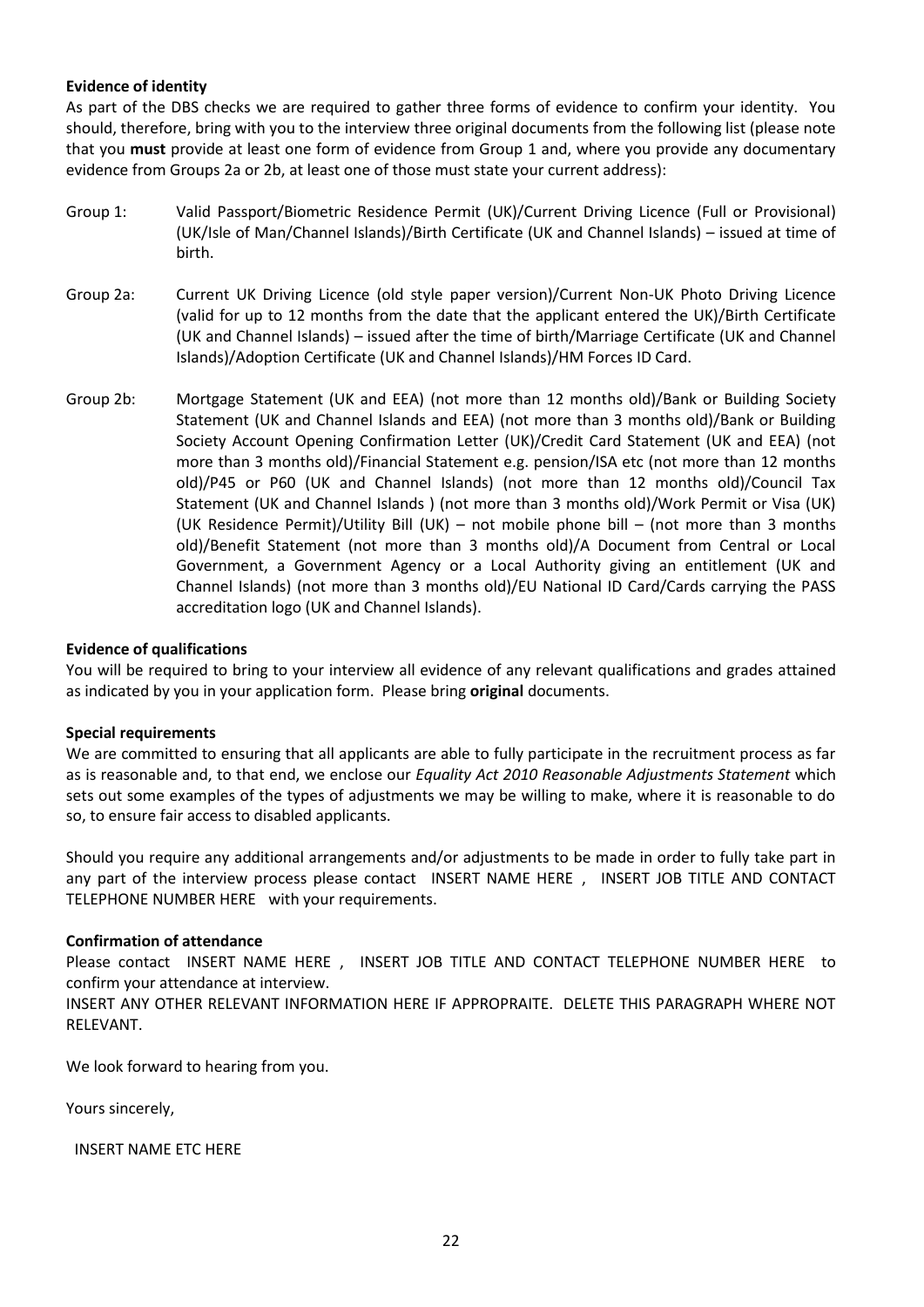#### **Evidence of identity**

As part of the DBS checks we are required to gather three forms of evidence to confirm your identity. You should, therefore, bring with you to the interview three original documents from the following list (please note that you **must** provide at least one form of evidence from Group 1 and, where you provide any documentary evidence from Groups 2a or 2b, at least one of those must state your current address):

- Group 1: Valid Passport/Biometric Residence Permit (UK)/Current Driving Licence (Full or Provisional) (UK/Isle of Man/Channel Islands)/Birth Certificate (UK and Channel Islands) – issued at time of birth.
- Group 2a: Current UK Driving Licence (old style paper version)/Current Non-UK Photo Driving Licence (valid for up to 12 months from the date that the applicant entered the UK)/Birth Certificate (UK and Channel Islands) – issued after the time of birth/Marriage Certificate (UK and Channel Islands)/Adoption Certificate (UK and Channel Islands)/HM Forces ID Card.
- Group 2b: Mortgage Statement (UK and EEA) (not more than 12 months old)/Bank or Building Society Statement (UK and Channel Islands and EEA) (not more than 3 months old)/Bank or Building Society Account Opening Confirmation Letter (UK)/Credit Card Statement (UK and EEA) (not more than 3 months old)/Financial Statement e.g. pension/ISA etc (not more than 12 months old)/P45 or P60 (UK and Channel Islands) (not more than 12 months old)/Council Tax Statement (UK and Channel Islands ) (not more than 3 months old)/Work Permit or Visa (UK) (UK Residence Permit)/Utility Bill (UK) – not mobile phone bill – (not more than 3 months old)/Benefit Statement (not more than 3 months old)/A Document from Central or Local Government, a Government Agency or a Local Authority giving an entitlement (UK and Channel Islands) (not more than 3 months old)/EU National ID Card/Cards carrying the PASS accreditation logo (UK and Channel Islands).

#### **Evidence of qualifications**

You will be required to bring to your interview all evidence of any relevant qualifications and grades attained as indicated by you in your application form. Please bring **original** documents.

#### **Special requirements**

We are committed to ensuring that all applicants are able to fully participate in the recruitment process as far as is reasonable and, to that end, we enclose our *Equality Act 2010 Reasonable Adjustments Statement* which sets out some examples of the types of adjustments we may be willing to make, where it is reasonable to do so, to ensure fair access to disabled applicants.

Should you require any additional arrangements and/or adjustments to be made in order to fully take part in any part of the interview process please contact INSERT NAME HERE , INSERT JOB TITLE AND CONTACT TELEPHONE NUMBER HERE with your requirements.

#### **Confirmation of attendance**

Please contact INSERT NAME HERE , INSERT JOB TITLE AND CONTACT TELEPHONE NUMBER HERE to confirm your attendance at interview.

INSERT ANY OTHER RELEVANT INFORMATION HERE IF APPROPRAITE. DELETE THIS PARAGRAPH WHERE NOT RELEVANT.

We look forward to hearing from you.

Yours sincerely,

INSERT NAME ETC HERE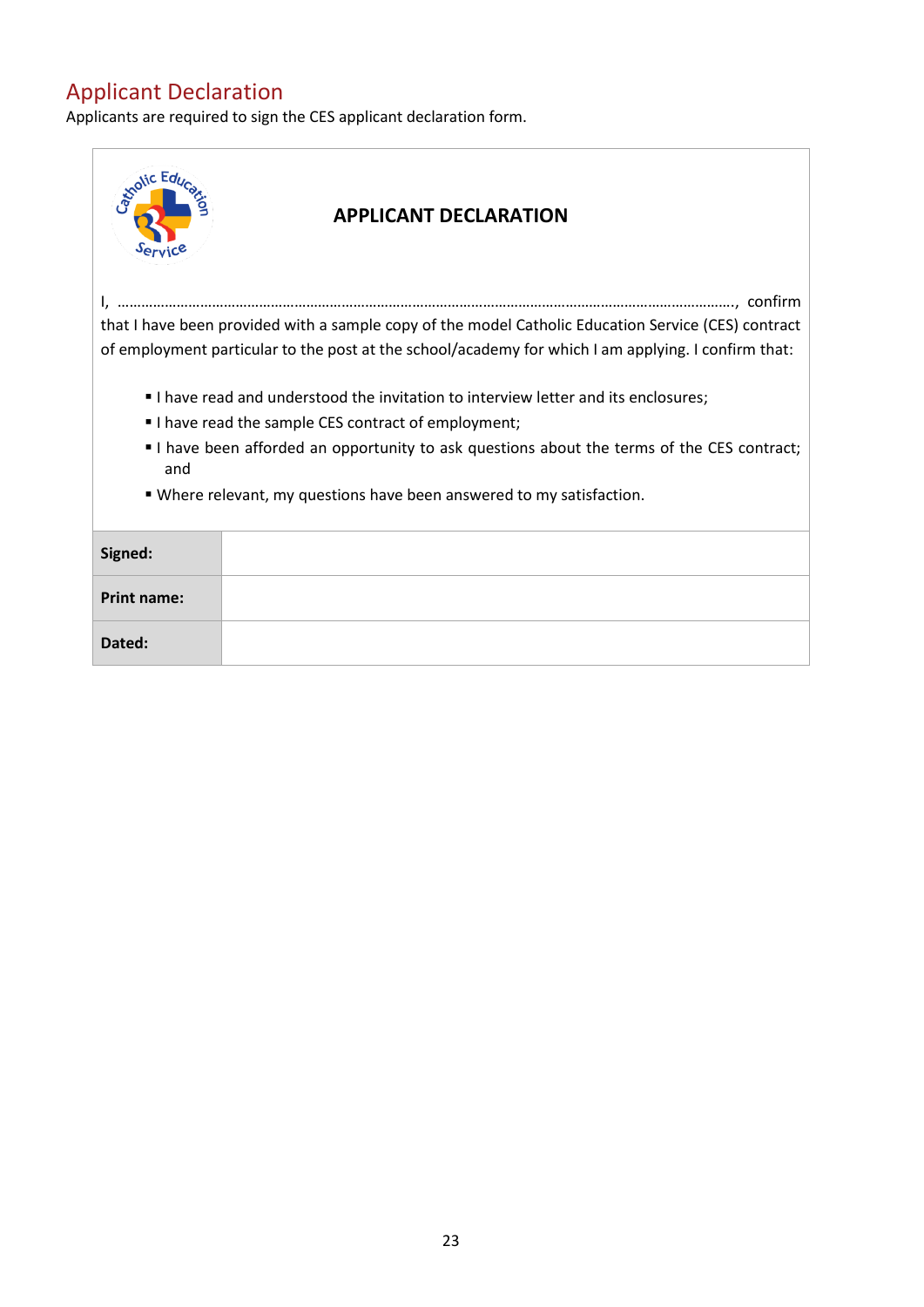## Applicant Declaration

Applicants are required to sign the CES applicant declaration form.

| <b>Knotic Edu</b>                                                                                | <b>APPLICANT DECLARATION</b>                                                                                                                                                                               |  |  |
|--------------------------------------------------------------------------------------------------|------------------------------------------------------------------------------------------------------------------------------------------------------------------------------------------------------------|--|--|
|                                                                                                  |                                                                                                                                                                                                            |  |  |
|                                                                                                  | that I have been provided with a sample copy of the model Catholic Education Service (CES) contract<br>of employment particular to the post at the school/academy for which I am applying. I confirm that: |  |  |
|                                                                                                  | I have read and understood the invitation to interview letter and its enclosures;                                                                                                                          |  |  |
|                                                                                                  | I have read the sample CES contract of employment;                                                                                                                                                         |  |  |
| I have been afforded an opportunity to ask questions about the terms of the CES contract;<br>and |                                                                                                                                                                                                            |  |  |
| . Where relevant, my questions have been answered to my satisfaction.                            |                                                                                                                                                                                                            |  |  |
| Signed:                                                                                          |                                                                                                                                                                                                            |  |  |
| <b>Print name:</b>                                                                               |                                                                                                                                                                                                            |  |  |
| Dated:                                                                                           |                                                                                                                                                                                                            |  |  |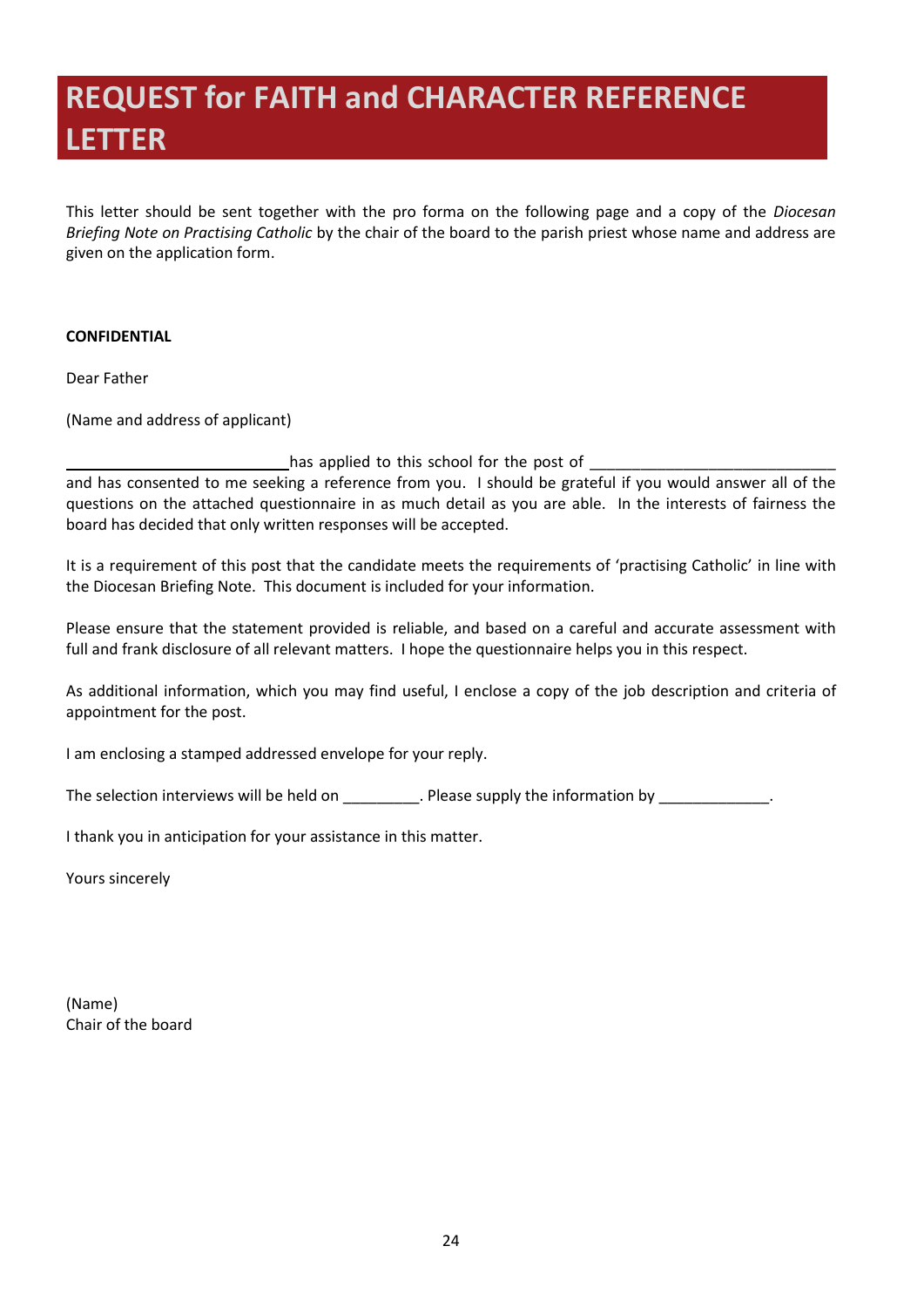# <span id="page-25-0"></span>**REQUEST for FAITH and CHARACTER REFERENCE LETTER**

This letter should be sent together with the pro forma on the following page and a copy of the *Diocesan Briefing Note on Practising Catholic* by the chair of the board to the parish priest whose name and address are given on the application form.

#### **CONFIDENTIAL**

Dear Father

(Name and address of applicant)

has applied to this school for the post of

and has consented to me seeking a reference from you. I should be grateful if you would answer all of the questions on the attached questionnaire in as much detail as you are able. In the interests of fairness the board has decided that only written responses will be accepted.

It is a requirement of this post that the candidate meets the requirements of 'practising Catholic' in line with the Diocesan Briefing Note. This document is included for your information.

Please ensure that the statement provided is reliable, and based on a careful and accurate assessment with full and frank disclosure of all relevant matters. I hope the questionnaire helps you in this respect.

As additional information, which you may find useful, I enclose a copy of the job description and criteria of appointment for the post.

I am enclosing a stamped addressed envelope for your reply.

The selection interviews will be held on example information by the information by the information by the information by  $\blacksquare$ .

I thank you in anticipation for your assistance in this matter.

Yours sincerely

(Name) Chair of the board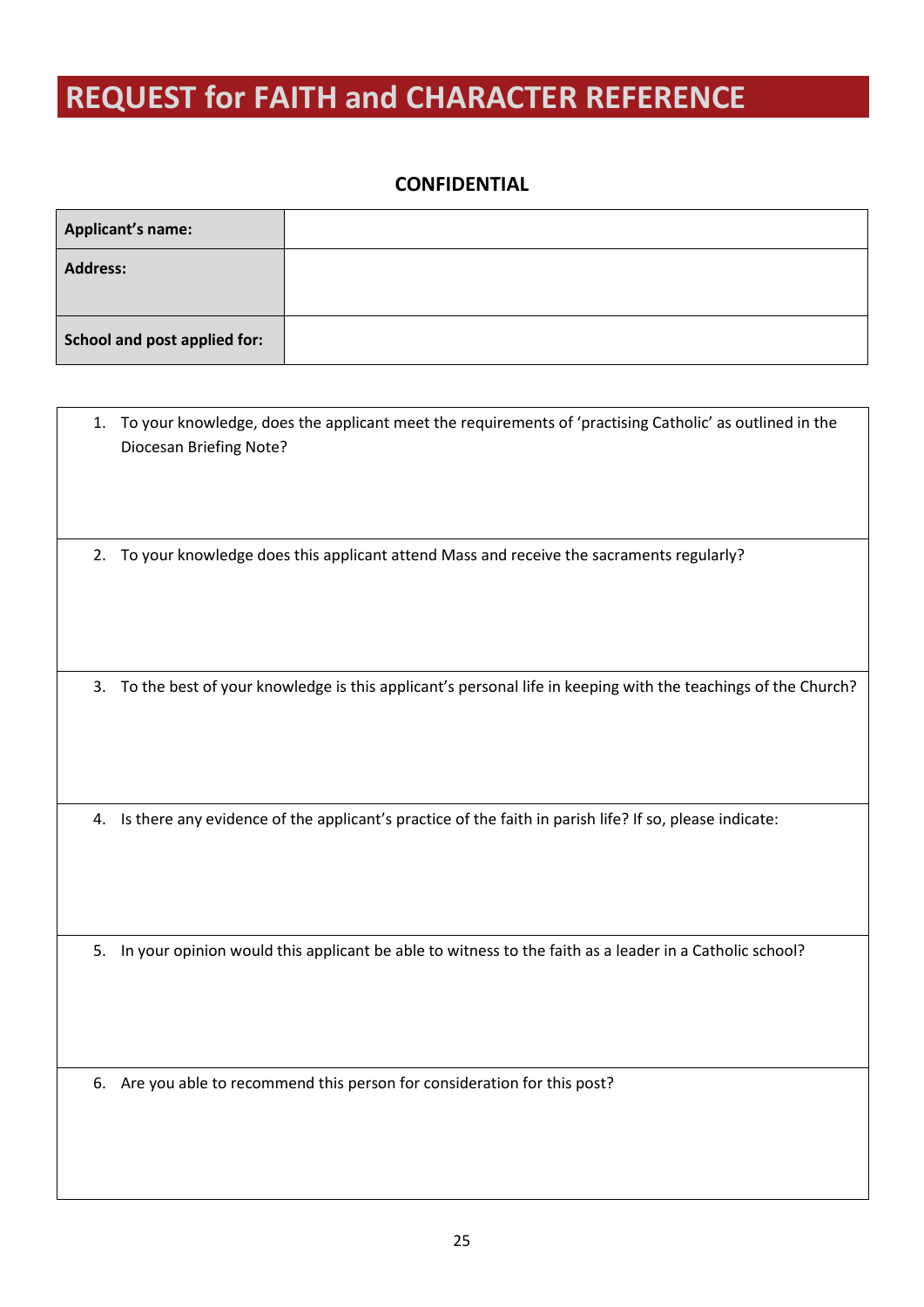# <span id="page-26-0"></span>**REQUEST for FAITH and CHARACTER REFERENCE**

#### **CONFIDENTIAL**

| Applicant's name:            |  |
|------------------------------|--|
| <b>Address:</b>              |  |
| School and post applied for: |  |

| 1. | To your knowledge, does the applicant meet the requirements of 'practising Catholic' as outlined in the<br>Diocesan Briefing Note? |
|----|------------------------------------------------------------------------------------------------------------------------------------|
| 2. | To your knowledge does this applicant attend Mass and receive the sacraments regularly?                                            |
| 3. | To the best of your knowledge is this applicant's personal life in keeping with the teachings of the Church?                       |
| 4. | Is there any evidence of the applicant's practice of the faith in parish life? If so, please indicate:                             |
| 5. | In your opinion would this applicant be able to witness to the faith as a leader in a Catholic school?                             |
|    | 6. Are you able to recommend this person for consideration for this post?                                                          |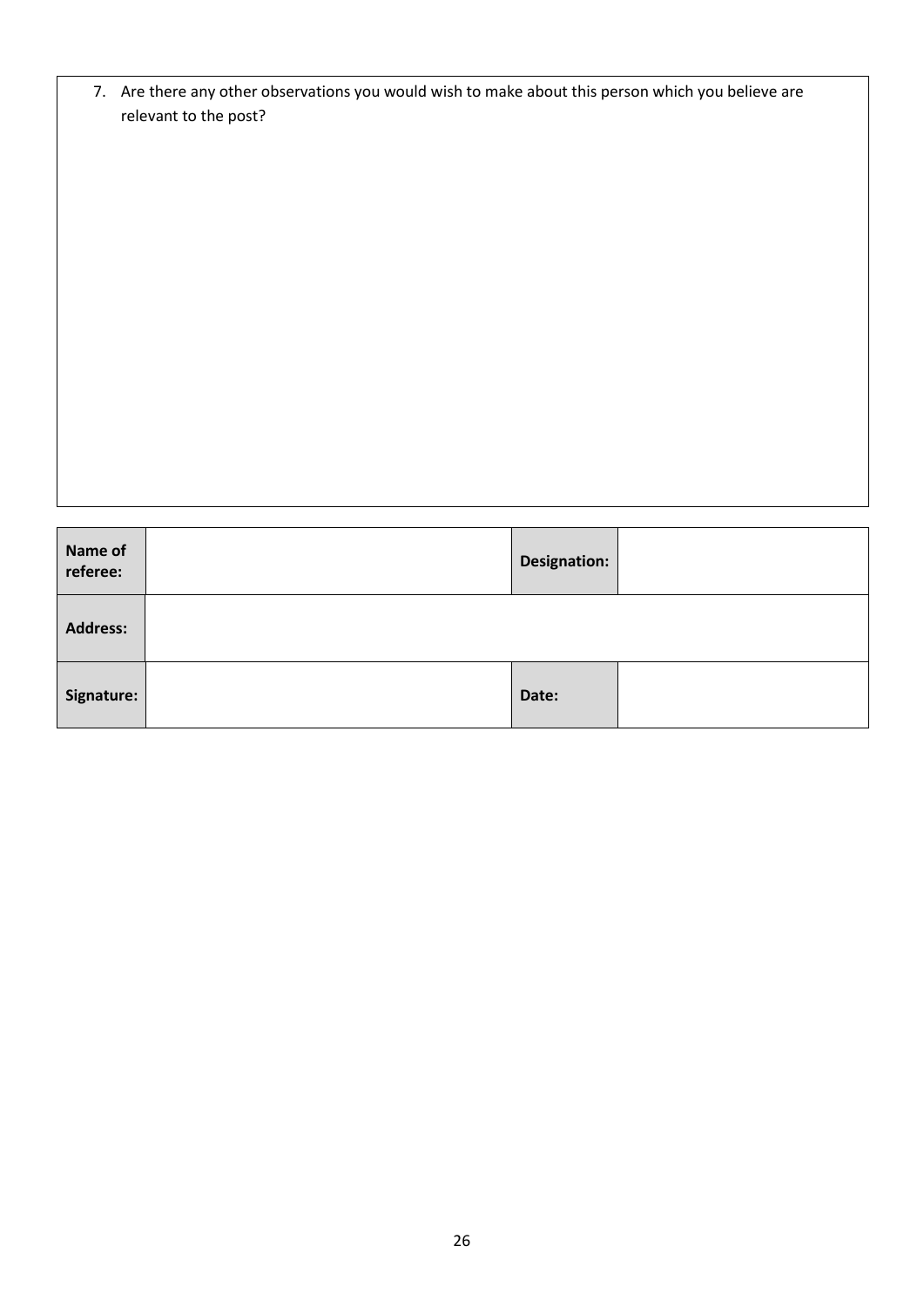| 7. Are there any other observations you would wish to make about this person which you believe are |
|----------------------------------------------------------------------------------------------------|
| relevant to the post?                                                                              |

| Name of<br>referee: | <b>Designation:</b> |  |
|---------------------|---------------------|--|
| <b>Address:</b>     |                     |  |
| Signature:          | Date:               |  |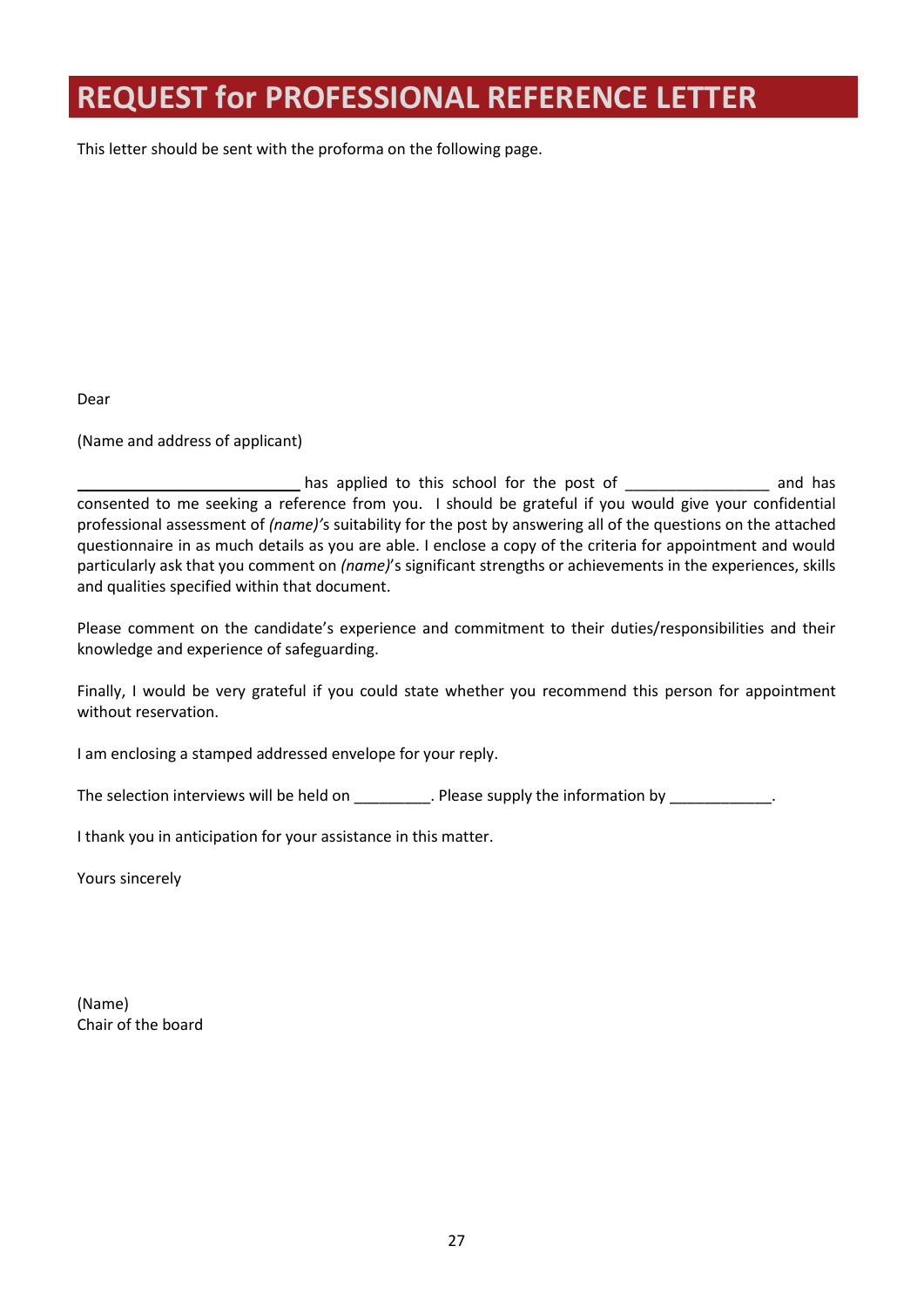# <span id="page-28-0"></span>**REQUEST for PROFESSIONAL REFERENCE LETTER**

This letter should be sent with the proforma on the following page.

Dear

(Name and address of applicant)

has applied to this school for the post of entity and has consented to me seeking a reference from you. I should be grateful if you would give your confidential professional assessment of *(name)'*s suitability for the post by answering all of the questions on the attached questionnaire in as much details as you are able. I enclose a copy of the criteria for appointment and would particularly ask that you comment on *(name)*'s significant strengths or achievements in the experiences, skills and qualities specified within that document.

Please comment on the candidate's experience and commitment to their duties/responsibilities and their knowledge and experience of safeguarding.

Finally, I would be very grateful if you could state whether you recommend this person for appointment without reservation.

I am enclosing a stamped addressed envelope for your reply.

The selection interviews will be held on \_\_\_\_\_\_\_\_\_\_. Please supply the information by \_\_\_\_\_\_\_\_\_\_\_\_\_.

I thank you in anticipation for your assistance in this matter.

Yours sincerely

(Name) Chair of the board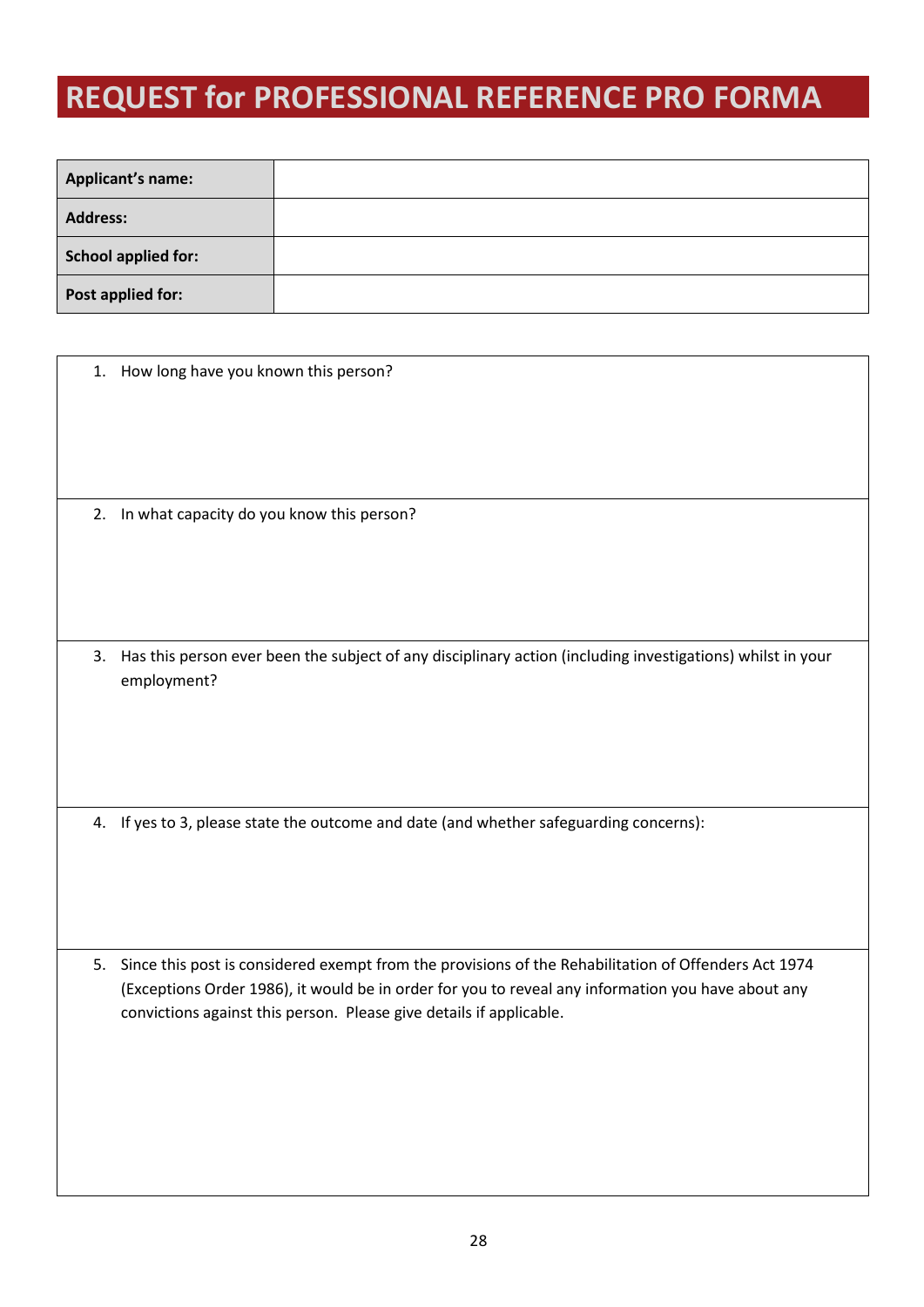# <span id="page-29-0"></span>**REQUEST for PROFESSIONAL REFERENCE PRO FORMA**

| <b>Applicant's name:</b> |  |
|--------------------------|--|
| <b>Address:</b>          |  |
| School applied for:      |  |
| Post applied for:        |  |

|    | 1. How long have you known this person?                                                                                                                                                                                                                                           |
|----|-----------------------------------------------------------------------------------------------------------------------------------------------------------------------------------------------------------------------------------------------------------------------------------|
|    | 2. In what capacity do you know this person?                                                                                                                                                                                                                                      |
| 3. | Has this person ever been the subject of any disciplinary action (including investigations) whilst in your<br>employment?                                                                                                                                                         |
|    | 4. If yes to 3, please state the outcome and date (and whether safeguarding concerns):                                                                                                                                                                                            |
| 5. | Since this post is considered exempt from the provisions of the Rehabilitation of Offenders Act 1974<br>(Exceptions Order 1986), it would be in order for you to reveal any information you have about any<br>convictions against this person. Please give details if applicable. |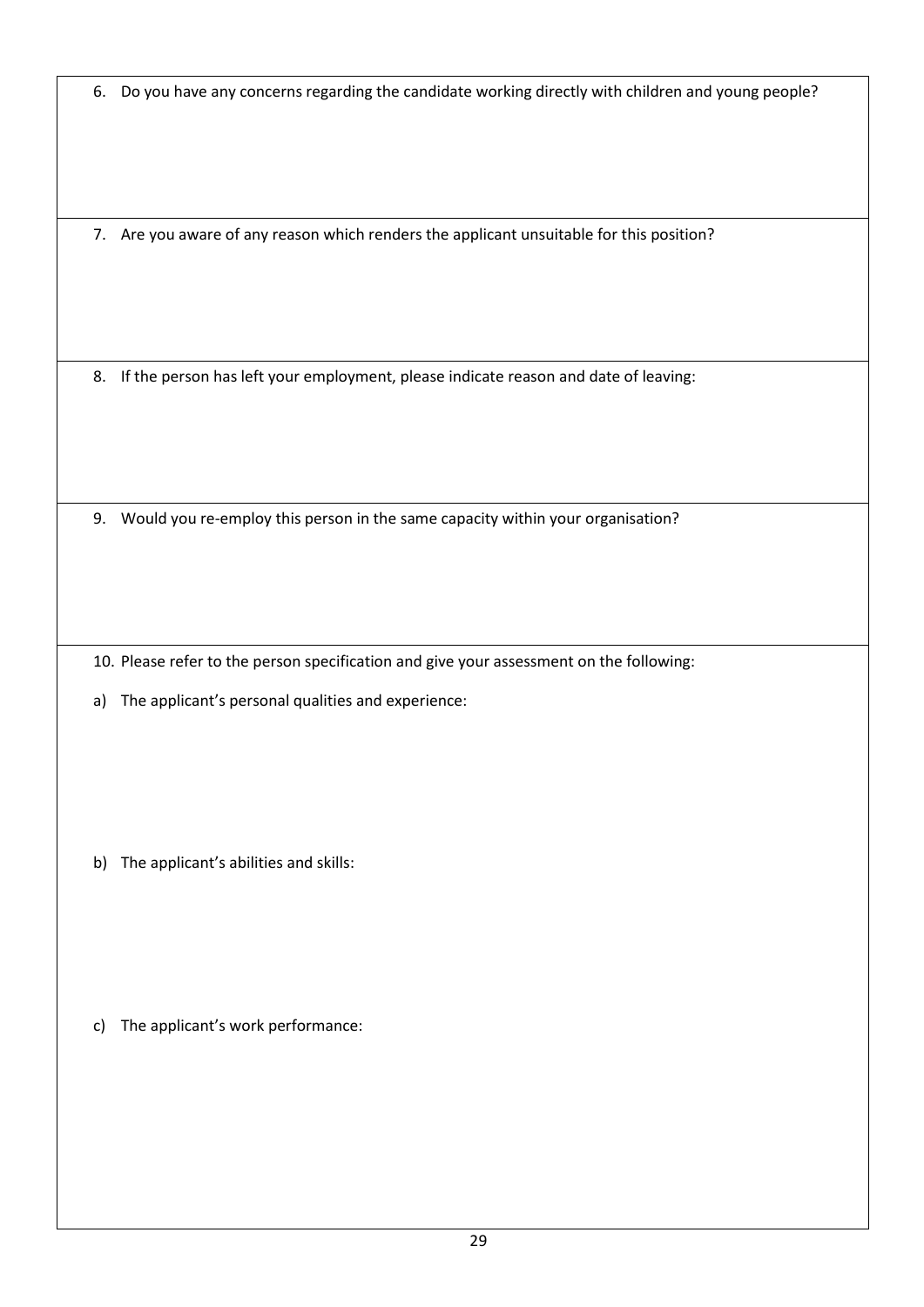6. Do you have any concerns regarding the candidate working directly with children and young people?

7. Are you aware of any reason which renders the applicant unsuitable for this position?

8. If the person has left your employment, please indicate reason and date of leaving:

9. Would you re-employ this person in the same capacity within your organisation?

10. Please refer to the person specification and give your assessment on the following:

a) The applicant's personal qualities and experience:

b) The applicant's abilities and skills:

c) The applicant's work performance: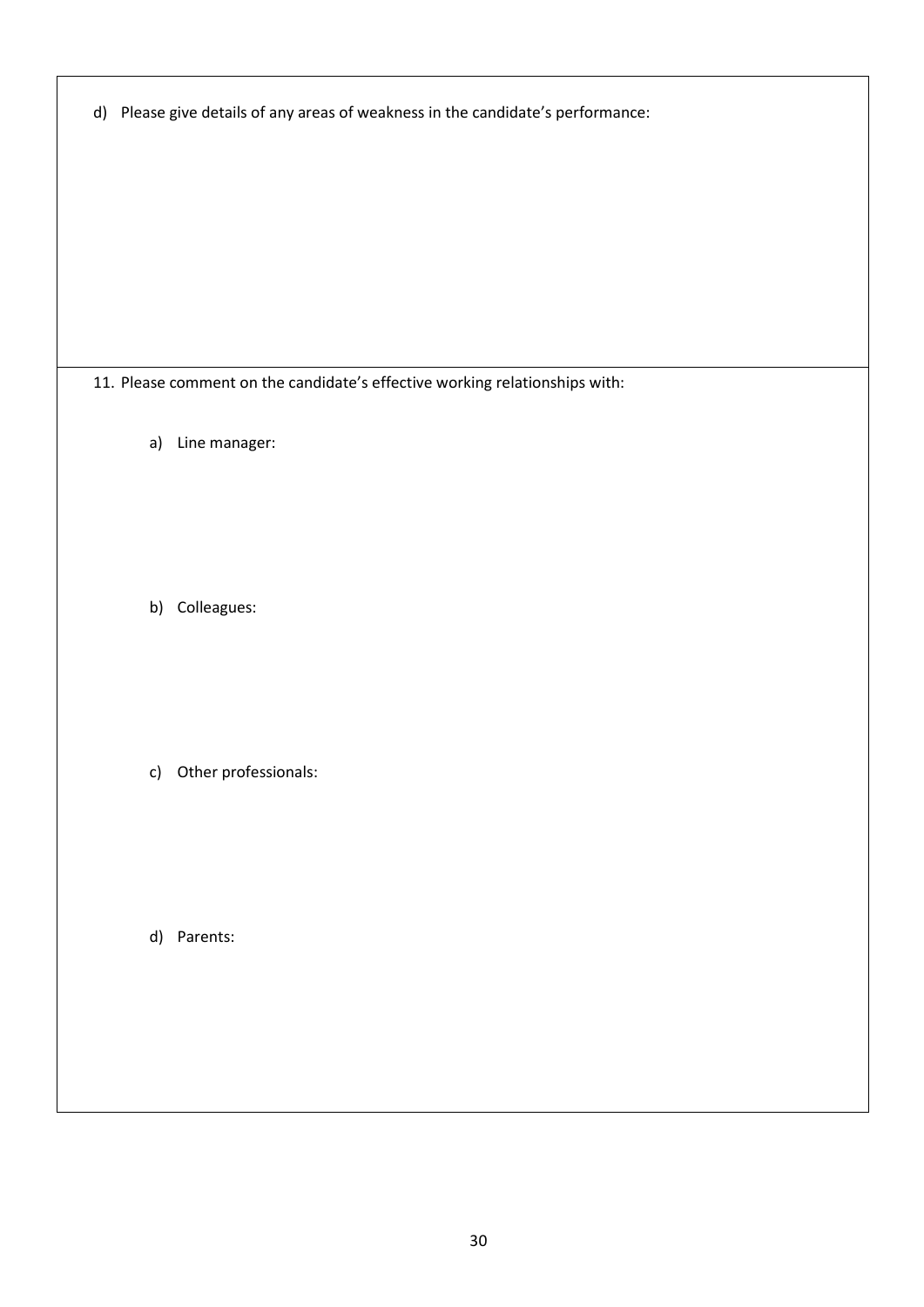|  | d) Please give details of any areas of weakness in the candidate's performance: |  |  |
|--|---------------------------------------------------------------------------------|--|--|
|--|---------------------------------------------------------------------------------|--|--|

11. Please comment on the candidate's effective working relationships with:

a) Line manager:

b) Colleagues:

c) Other professionals:

d) Parents: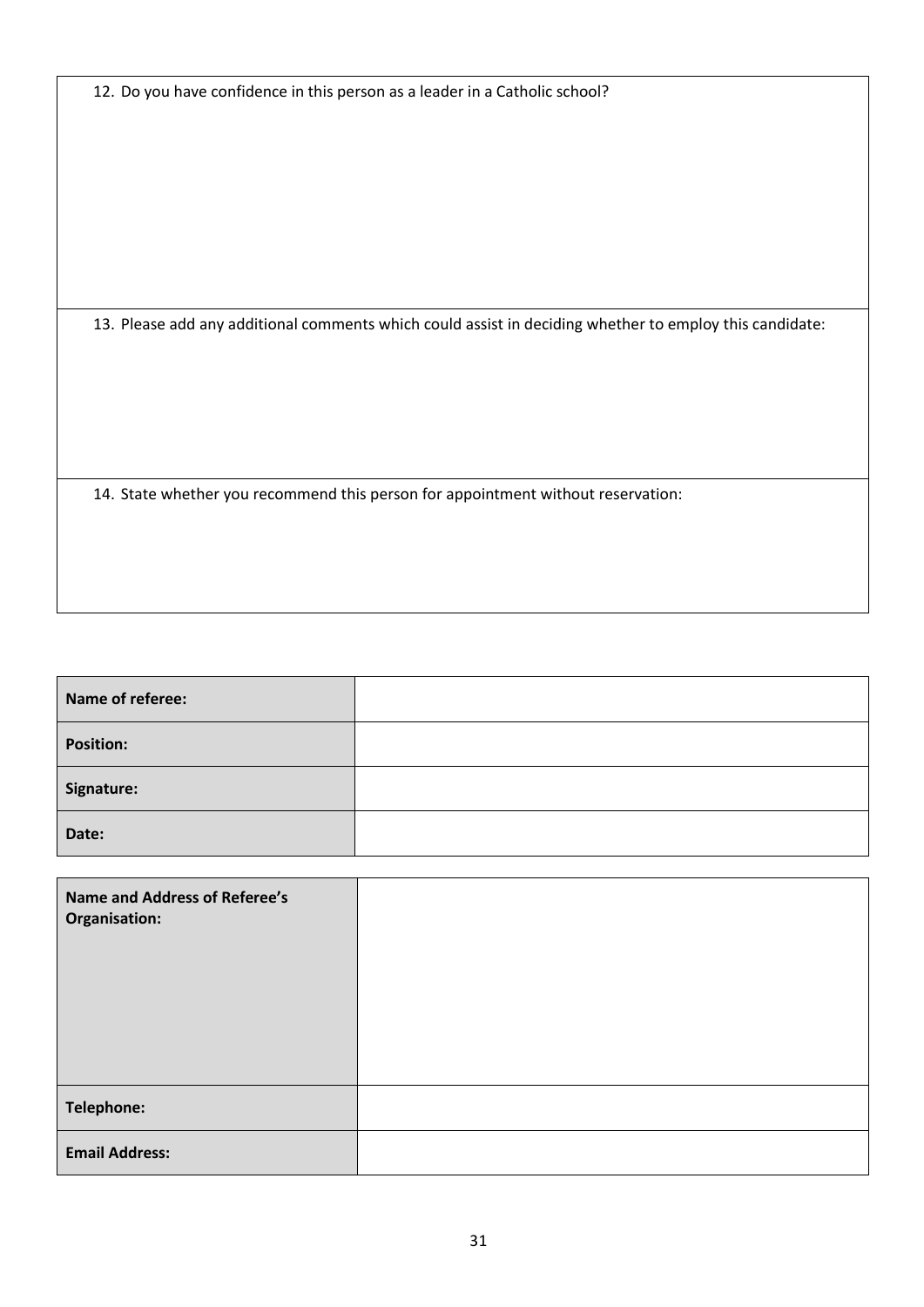12. Do you have confidence in this person as a leader in a Catholic school?

13. Please add any additional comments which could assist in deciding whether to employ this candidate:

14. State whether you recommend this person for appointment without reservation:

| Name of referee: |  |
|------------------|--|
| <b>Position:</b> |  |
| Signature:       |  |
| Date:            |  |

| <b>Name and Address of Referee's</b><br>Organisation: |  |
|-------------------------------------------------------|--|
| Telephone:                                            |  |
| <b>Email Address:</b>                                 |  |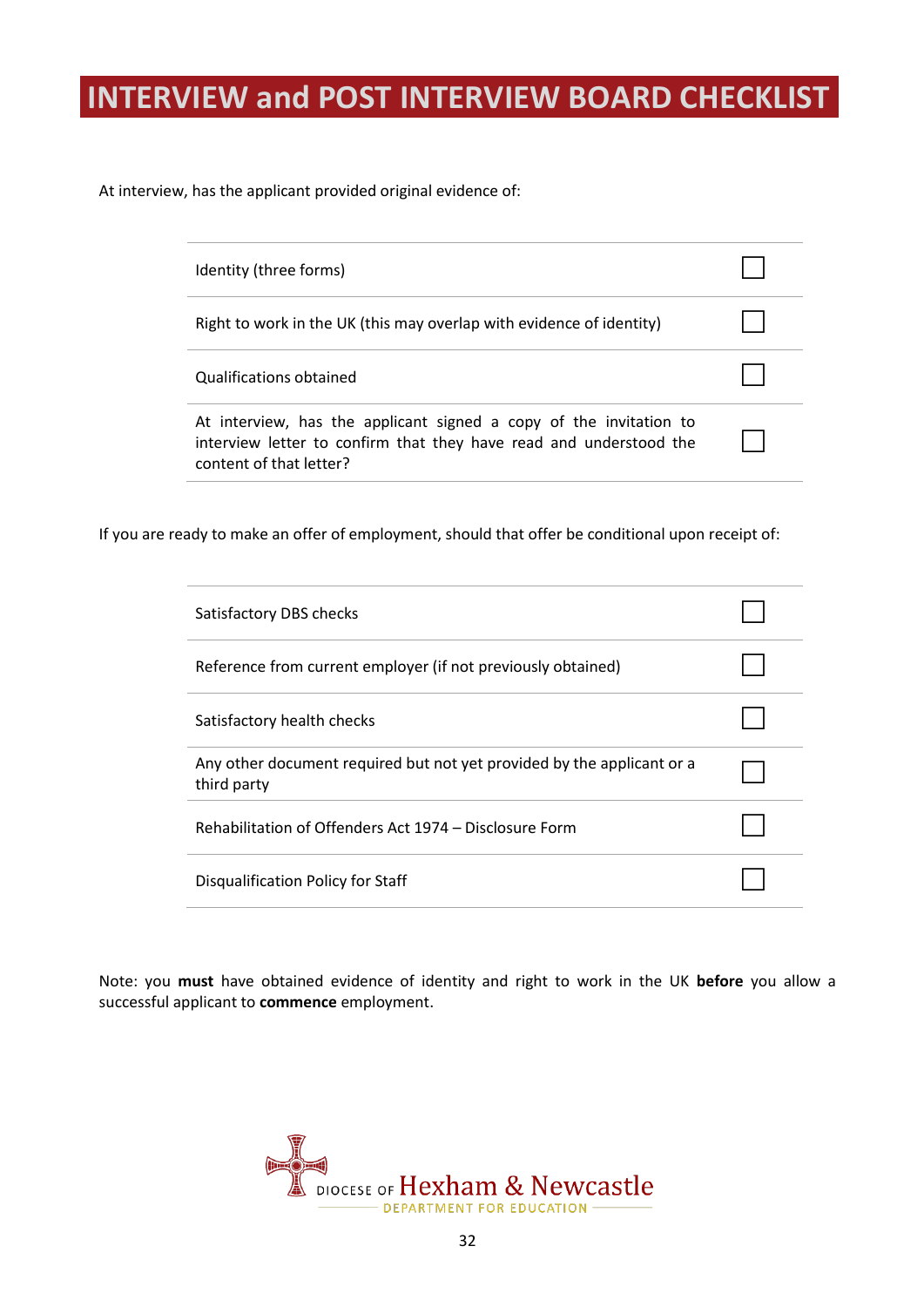# <span id="page-33-0"></span>**INTERVIEW and POST INTERVIEW BOARD CHECKLIST**

At interview, has the applicant provided original evidence of:

| Identity (three forms)                                                                                                                                              |  |
|---------------------------------------------------------------------------------------------------------------------------------------------------------------------|--|
| Right to work in the UK (this may overlap with evidence of identity)                                                                                                |  |
| Qualifications obtained                                                                                                                                             |  |
| At interview, has the applicant signed a copy of the invitation to<br>interview letter to confirm that they have read and understood the<br>content of that letter? |  |

If you are ready to make an offer of employment, should that offer be conditional upon receipt of:

| Satisfactory DBS checks                                                               |  |
|---------------------------------------------------------------------------------------|--|
| Reference from current employer (if not previously obtained)                          |  |
| Satisfactory health checks                                                            |  |
| Any other document required but not yet provided by the applicant or a<br>third party |  |
| Rehabilitation of Offenders Act 1974 – Disclosure Form                                |  |
| Disqualification Policy for Staff                                                     |  |

Note: you **must** have obtained evidence of identity and right to work in the UK **before** you allow a successful applicant to **commence** employment.

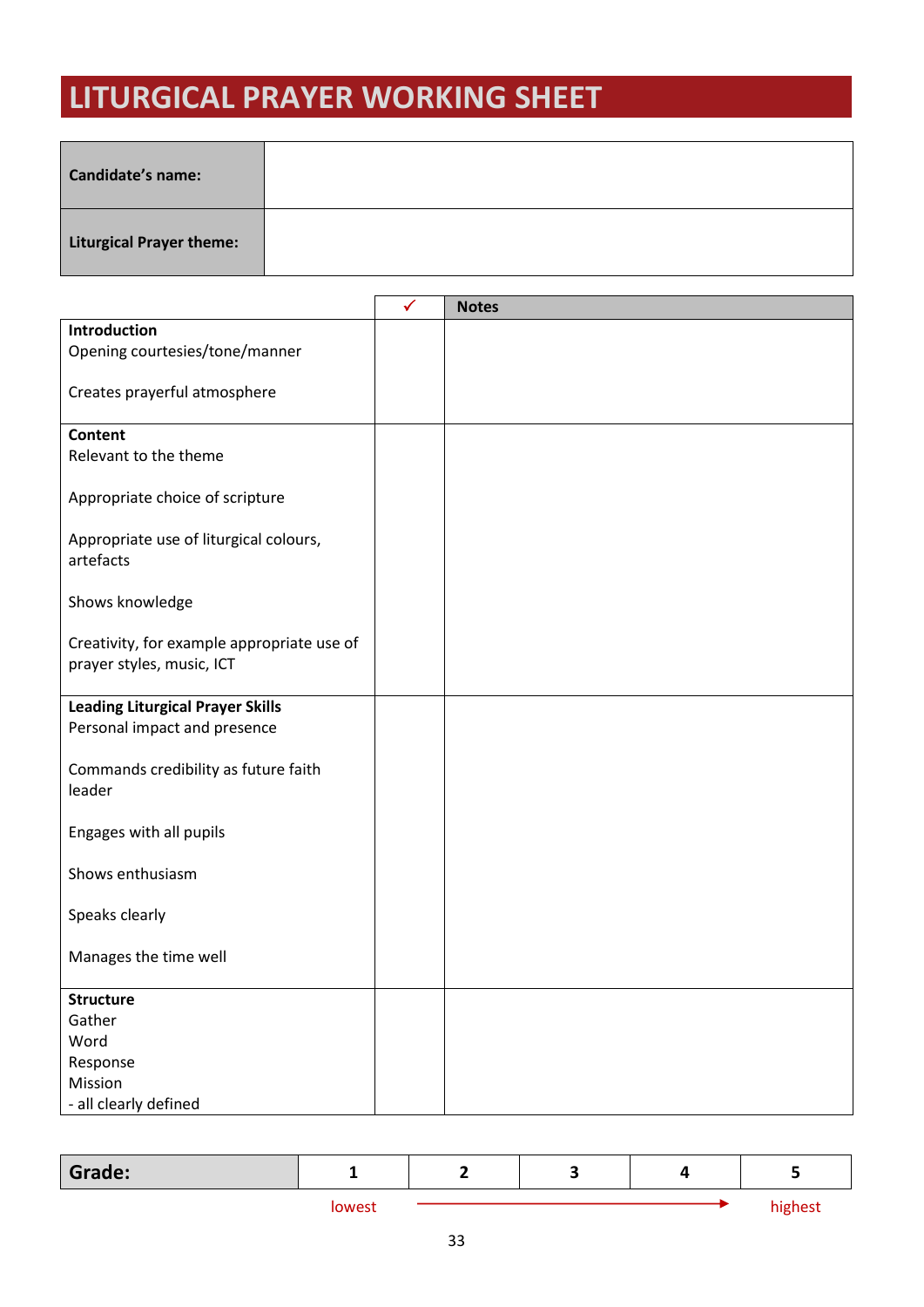# <span id="page-34-0"></span>**LITURGICAL PRAYER WORKING SHEET**

| <b>Candidate's name:</b>        |  |
|---------------------------------|--|
| <b>Liturgical Prayer theme:</b> |  |

|                                            | $\checkmark$ | <b>Notes</b> |
|--------------------------------------------|--------------|--------------|
| Introduction                               |              |              |
| Opening courtesies/tone/manner             |              |              |
|                                            |              |              |
| Creates prayerful atmosphere               |              |              |
| <b>Content</b>                             |              |              |
| Relevant to the theme                      |              |              |
|                                            |              |              |
| Appropriate choice of scripture            |              |              |
|                                            |              |              |
| Appropriate use of liturgical colours,     |              |              |
| artefacts                                  |              |              |
|                                            |              |              |
| Shows knowledge                            |              |              |
|                                            |              |              |
| Creativity, for example appropriate use of |              |              |
| prayer styles, music, ICT                  |              |              |
|                                            |              |              |
| <b>Leading Liturgical Prayer Skills</b>    |              |              |
| Personal impact and presence               |              |              |
| Commands credibility as future faith       |              |              |
| leader                                     |              |              |
|                                            |              |              |
| Engages with all pupils                    |              |              |
|                                            |              |              |
| Shows enthusiasm                           |              |              |
|                                            |              |              |
| Speaks clearly                             |              |              |
|                                            |              |              |
| Manages the time well                      |              |              |
|                                            |              |              |
| <b>Structure</b><br>Gather                 |              |              |
| Word                                       |              |              |
| Response                                   |              |              |
| Mission                                    |              |              |
| - all clearly defined                      |              |              |

| Grade: | -      | - | w |         |
|--------|--------|---|---|---------|
|        | lowest |   |   | highest |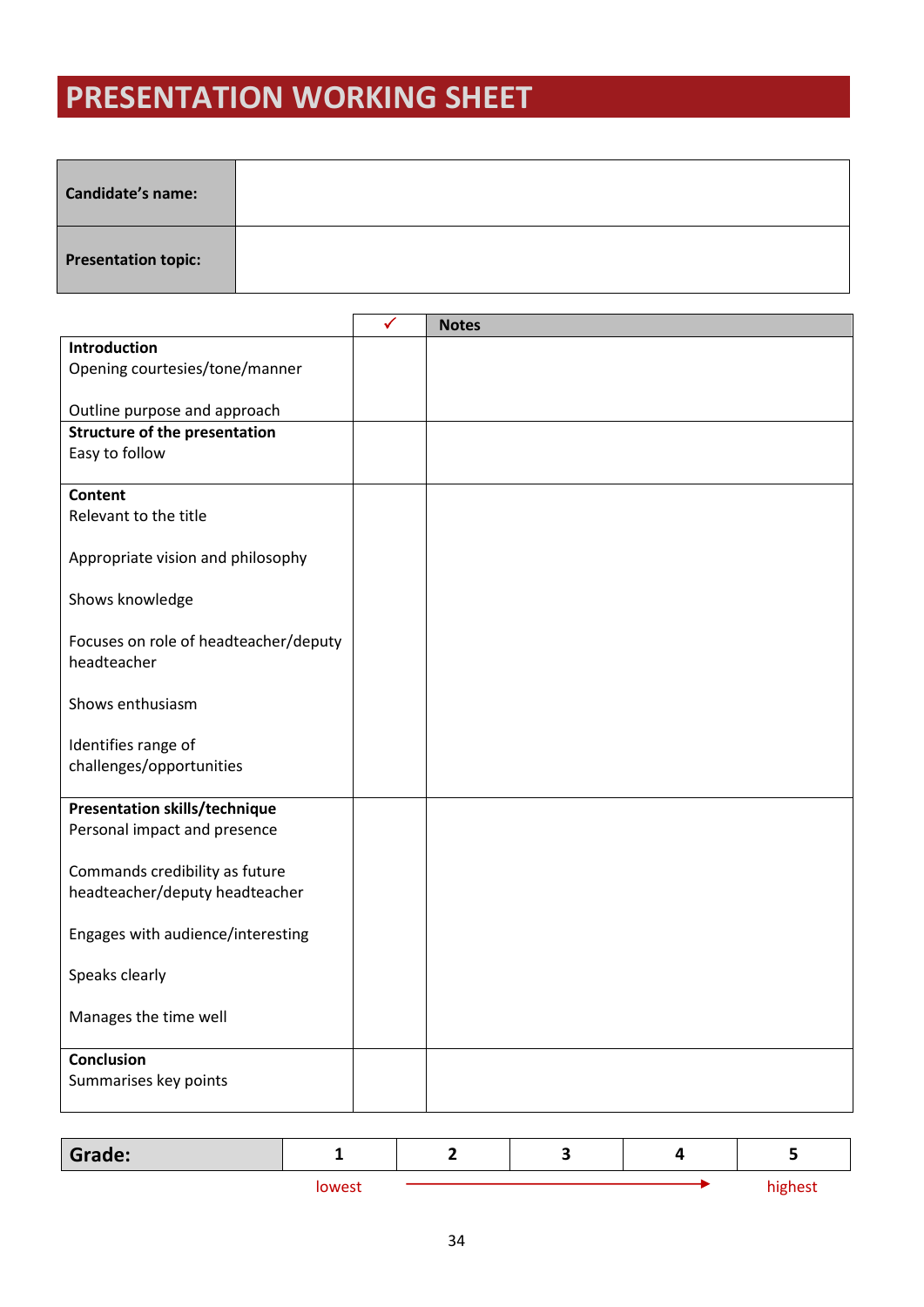# <span id="page-35-0"></span>**PRESENTATION WORKING SHEET**

| <b>Candidate's name:</b>   |  |
|----------------------------|--|
| <b>Presentation topic:</b> |  |

|                                                                  | ✓ | <b>Notes</b> |
|------------------------------------------------------------------|---|--------------|
| <b>Introduction</b>                                              |   |              |
| Opening courtesies/tone/manner                                   |   |              |
|                                                                  |   |              |
| Outline purpose and approach                                     |   |              |
| <b>Structure of the presentation</b>                             |   |              |
| Easy to follow                                                   |   |              |
| <b>Content</b>                                                   |   |              |
| Relevant to the title                                            |   |              |
|                                                                  |   |              |
| Appropriate vision and philosophy                                |   |              |
|                                                                  |   |              |
| Shows knowledge                                                  |   |              |
|                                                                  |   |              |
| Focuses on role of headteacher/deputy                            |   |              |
| headteacher                                                      |   |              |
|                                                                  |   |              |
| Shows enthusiasm                                                 |   |              |
|                                                                  |   |              |
| Identifies range of                                              |   |              |
| challenges/opportunities                                         |   |              |
|                                                                  |   |              |
| <b>Presentation skills/technique</b>                             |   |              |
| Personal impact and presence                                     |   |              |
|                                                                  |   |              |
| Commands credibility as future<br>headteacher/deputy headteacher |   |              |
|                                                                  |   |              |
| Engages with audience/interesting                                |   |              |
|                                                                  |   |              |
| Speaks clearly                                                   |   |              |
|                                                                  |   |              |
| Manages the time well                                            |   |              |
|                                                                  |   |              |
| <b>Conclusion</b>                                                |   |              |
| Summarises key points                                            |   |              |
|                                                                  |   |              |

| Grade: |        |  |         |
|--------|--------|--|---------|
|        | lowest |  | highest |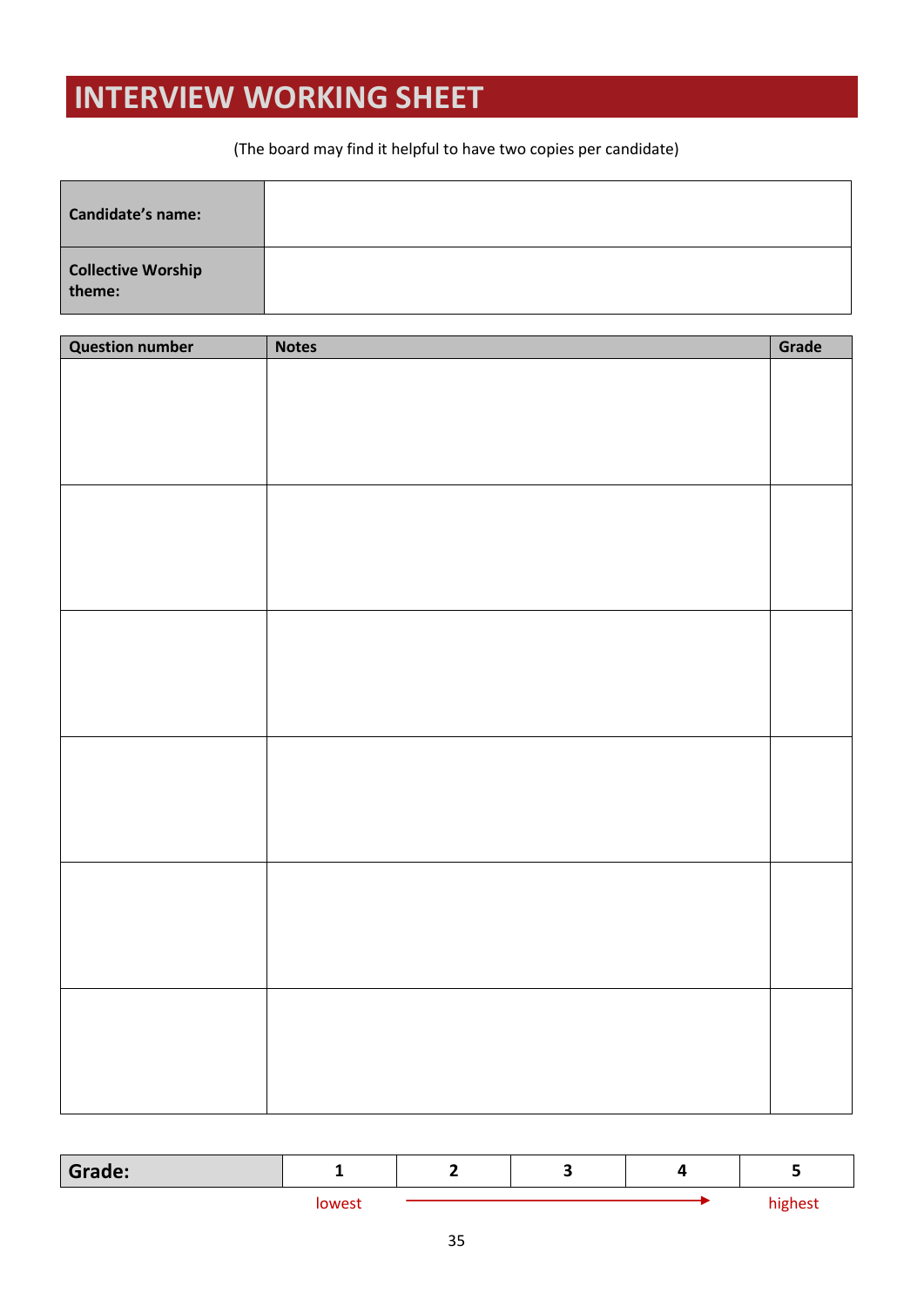# <span id="page-36-0"></span>**INTERVIEW WORKING SHEET**

#### (The board may find it helpful to have two copies per candidate)

| <b>Candidate's name:</b>            |  |
|-------------------------------------|--|
| <b>Collective Worship</b><br>theme: |  |

| <b>Question number</b> | <b>Notes</b> | Grade |
|------------------------|--------------|-------|
|                        |              |       |
|                        |              |       |
|                        |              |       |
|                        |              |       |
|                        |              |       |
|                        |              |       |
|                        |              |       |
|                        |              |       |
|                        |              |       |
|                        |              |       |
|                        |              |       |
|                        |              |       |
|                        |              |       |
|                        |              |       |
|                        |              |       |
|                        |              |       |
|                        |              |       |
|                        |              |       |
|                        |              |       |
|                        |              |       |
|                        |              |       |
|                        |              |       |
|                        |              |       |
|                        |              |       |
|                        |              |       |
|                        |              |       |
|                        |              |       |
|                        |              |       |
|                        |              |       |

| Grade: | -     | — |  |         |
|--------|-------|---|--|---------|
|        | owest |   |  | highest |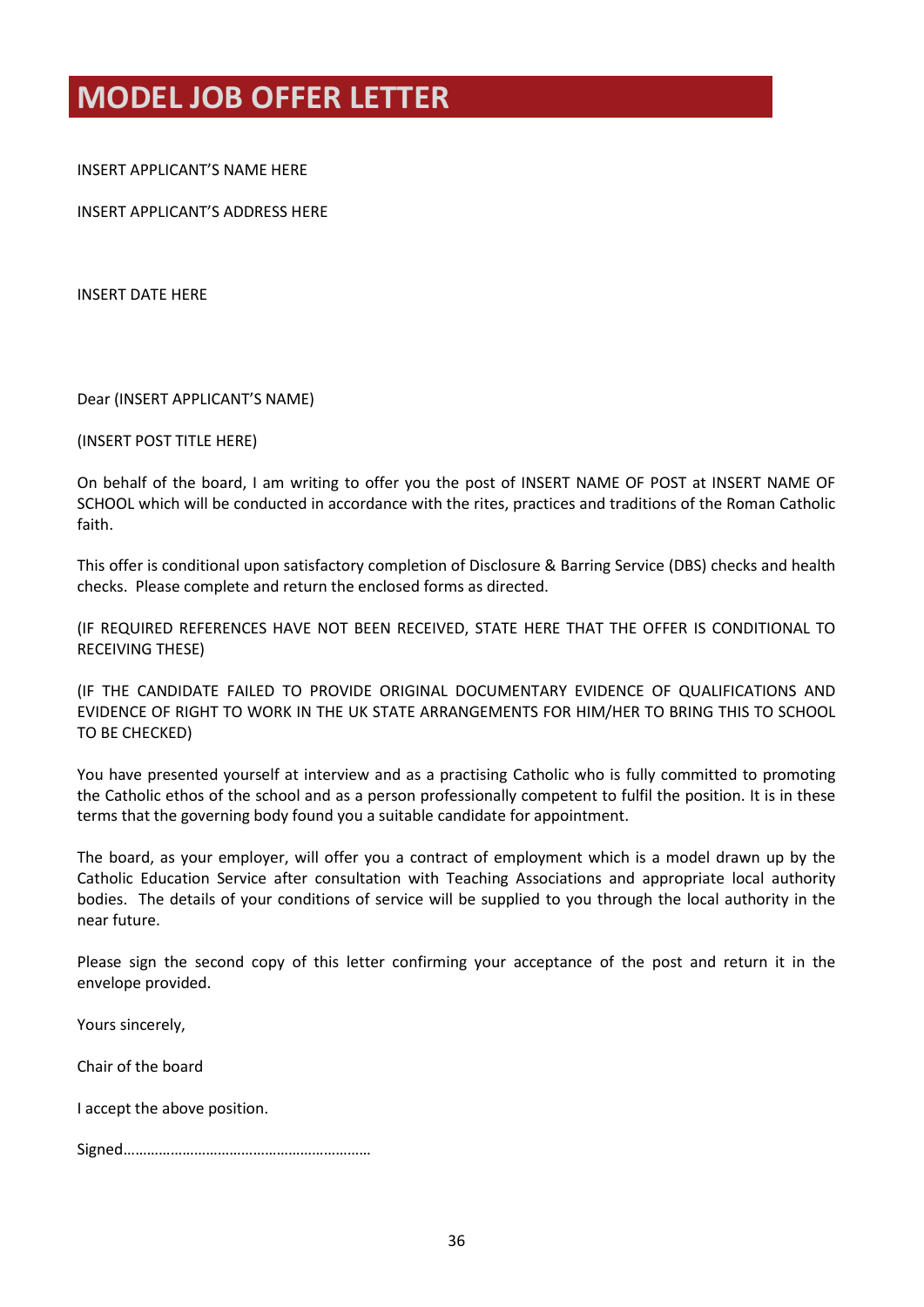## <span id="page-37-0"></span>**MODEL JOB OFFER LETTER**

INSERT APPLICANT'S NAME HERE

INSERT APPLICANT'S ADDRESS HERE

INSERT DATE HERE

Dear (INSERT APPLICANT'S NAME)

(INSERT POST TITLE HERE)

On behalf of the board, I am writing to offer you the post of INSERT NAME OF POST at INSERT NAME OF SCHOOL which will be conducted in accordance with the rites, practices and traditions of the Roman Catholic faith.

This offer is conditional upon satisfactory completion of Disclosure & Barring Service (DBS) checks and health checks. Please complete and return the enclosed forms as directed.

(IF REQUIRED REFERENCES HAVE NOT BEEN RECEIVED, STATE HERE THAT THE OFFER IS CONDITIONAL TO RECEIVING THESE)

(IF THE CANDIDATE FAILED TO PROVIDE ORIGINAL DOCUMENTARY EVIDENCE OF QUALIFICATIONS AND EVIDENCE OF RIGHT TO WORK IN THE UK STATE ARRANGEMENTS FOR HIM/HER TO BRING THIS TO SCHOOL TO BE CHECKED)

You have presented yourself at interview and as a practising Catholic who is fully committed to promoting the Catholic ethos of the school and as a person professionally competent to fulfil the position. It is in these terms that the governing body found you a suitable candidate for appointment.

The board, as your employer, will offer you a contract of employment which is a model drawn up by the Catholic Education Service after consultation with Teaching Associations and appropriate local authority bodies. The details of your conditions of service will be supplied to you through the local authority in the near future.

Please sign the second copy of this letter confirming your acceptance of the post and return it in the envelope provided.

Yours sincerely,

Chair of the board

I accept the above position.

Signed………………………………………………………